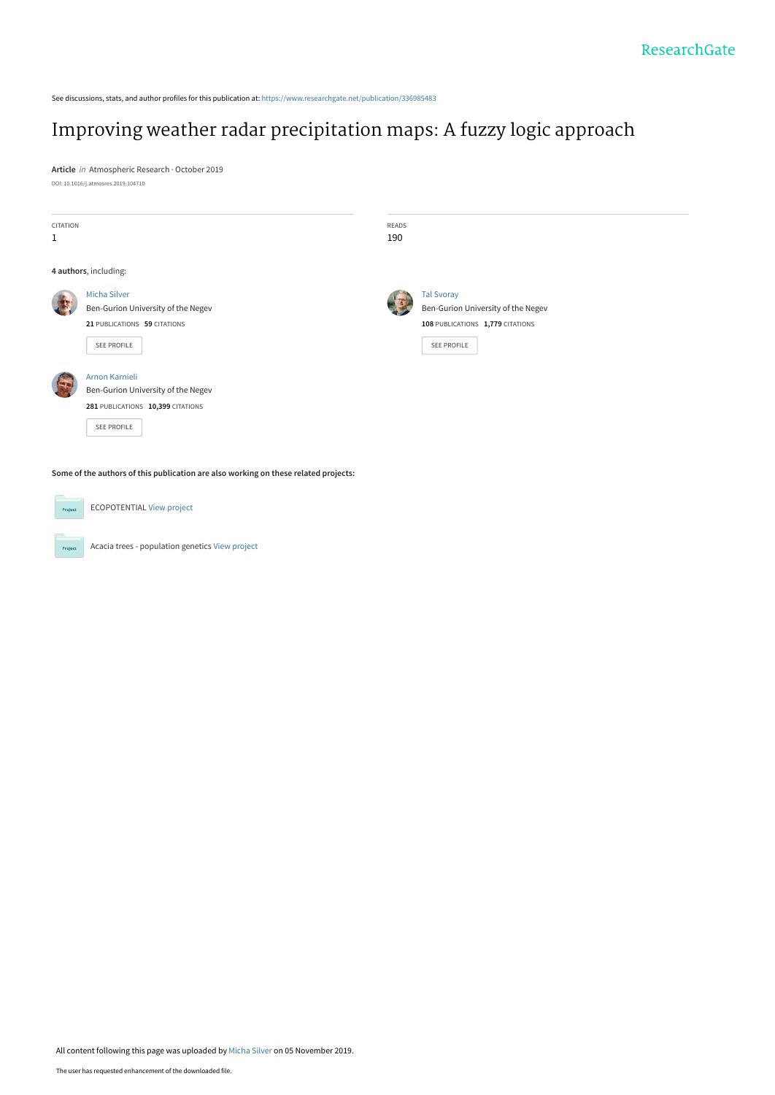See discussions, stats, and author profiles for this publication at: [https://www.researchgate.net/publication/336985483](https://www.researchgate.net/publication/336985483_Improving_weather_radar_precipitation_maps_A_fuzzy_logic_approach?enrichId=rgreq-45238234d2c866f1ad749f3289b24349-XXX&enrichSource=Y292ZXJQYWdlOzMzNjk4NTQ4MztBUzo4MjE4MjU5MjM3MzE0NTdAMTU3Mjk0OTk3NzA4Mg%3D%3D&el=1_x_2&_esc=publicationCoverPdf)

# [Improving weather radar precipitation maps: A fuzzy logic approach](https://www.researchgate.net/publication/336985483_Improving_weather_radar_precipitation_maps_A_fuzzy_logic_approach?enrichId=rgreq-45238234d2c866f1ad749f3289b24349-XXX&enrichSource=Y292ZXJQYWdlOzMzNjk4NTQ4MztBUzo4MjE4MjU5MjM3MzE0NTdAMTU3Mjk0OTk3NzA4Mg%3D%3D&el=1_x_3&_esc=publicationCoverPdf)

**Article** in Atmospheric Research · October 2019 DOI: 10.1016/j.atmosres.2019.104710

| CITATION<br>$\mathbf{1}$ |                                                                                                                 | <b>READS</b><br>190 |                                                                                                            |
|--------------------------|-----------------------------------------------------------------------------------------------------------------|---------------------|------------------------------------------------------------------------------------------------------------|
|                          | 4 authors, including:                                                                                           |                     |                                                                                                            |
|                          | <b>Micha Silver</b><br>Ben-Gurion University of the Negev<br>21 PUBLICATIONS 59 CITATIONS<br><b>SEE PROFILE</b> |                     | <b>Tal Svoray</b><br>Ben-Gurion University of the Negev<br>108 PUBLICATIONS 1,779 CITATIONS<br>SEE PROFILE |
|                          | Arnon Karnieli<br>Ben-Gurion University of the Negev<br>281 PUBLICATIONS 10,399 CITATIONS<br>SEE PROFILE        |                     |                                                                                                            |
|                          | Some of the authors of this publication are also working on these related projects:                             |                     |                                                                                                            |
| Project                  | <b>ECOPOTENTIAL View project</b>                                                                                |                     |                                                                                                            |

Acacia trees - population genetics [View project](https://www.researchgate.net/project/Acacia-trees-population-genetics?enrichId=rgreq-45238234d2c866f1ad749f3289b24349-XXX&enrichSource=Y292ZXJQYWdlOzMzNjk4NTQ4MztBUzo4MjE4MjU5MjM3MzE0NTdAMTU3Mjk0OTk3NzA4Mg%3D%3D&el=1_x_9&_esc=publicationCoverPdf)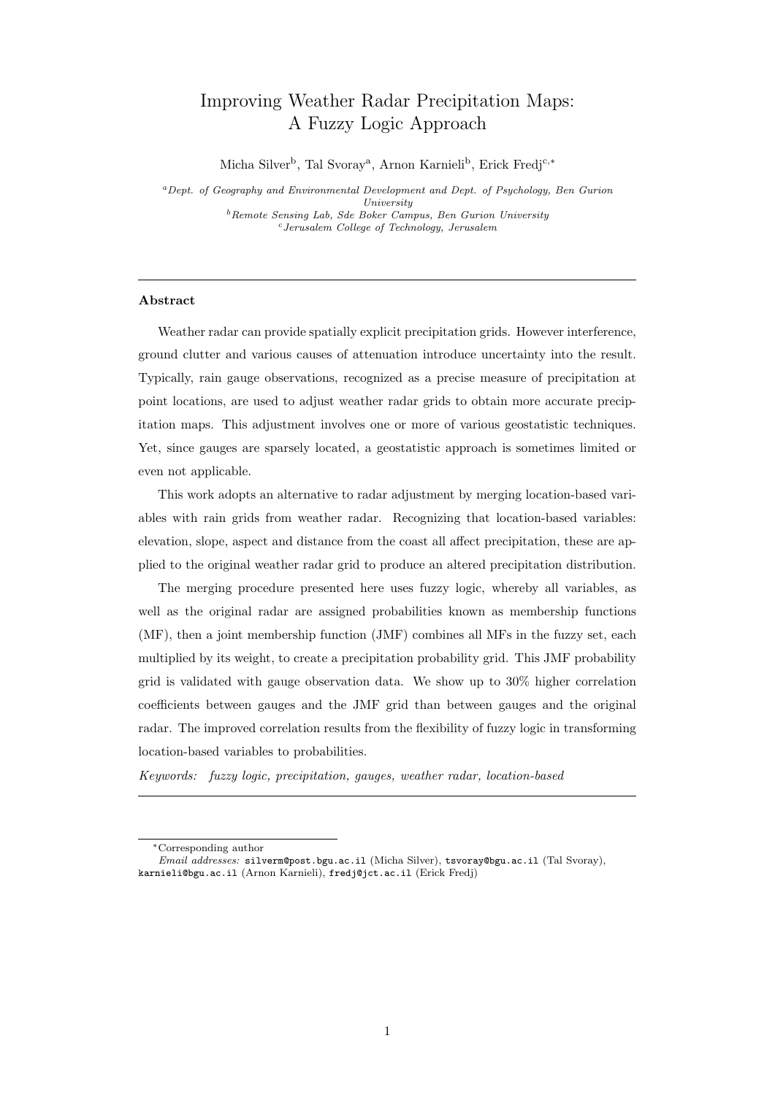# <span id="page-1-0"></span>Improving Weather Radar Precipitation Maps: A Fuzzy Logic Approach

Micha Silver<sup>b</sup>, Tal Svoray<sup>a</sup>, Arnon Karnieli<sup>b</sup>, Erick Fredj<sup>c,\*</sup>

<sup>a</sup>Dept. of Geography and Environmental Development and Dept. of Psychology, Ben Gurion University  $b$ Remote Sensing Lab, Sde Boker Campus, Ben Gurion University  $c$ Jerusalem College of Technology, Jerusalem

# Abstract

Weather radar can provide spatially explicit precipitation grids. However interference, ground clutter and various causes of attenuation introduce uncertainty into the result. Typically, rain gauge observations, recognized as a precise measure of precipitation at point locations, are used to adjust weather radar grids to obtain more accurate precipitation maps. This adjustment involves one or more of various geostatistic techniques. Yet, since gauges are sparsely located, a geostatistic approach is sometimes limited or even not applicable.

This work adopts an alternative to radar adjustment by merging location-based variables with rain grids from weather radar. Recognizing that location-based variables: elevation, slope, aspect and distance from the coast all affect precipitation, these are applied to the original weather radar grid to produce an altered precipitation distribution.

The merging procedure presented here uses fuzzy logic, whereby all variables, as well as the original radar are assigned probabilities known as membership functions (MF), then a joint membership function (JMF) combines all MFs in the fuzzy set, each multiplied by its weight, to create a precipitation probability grid. This JMF probability grid is validated with gauge observation data. We show up to 30% higher correlation coefficients between gauges and the JMF grid than between gauges and the original radar. The improved correlation results from the flexibility of fuzzy logic in transforming location-based variables to probabilities.

Keywords: fuzzy logic, precipitation, gauges, weather radar, location-based

<sup>∗</sup>Corresponding author

Email addresses: silverm@post.bgu.ac.il (Micha Silver), tsvoray@bgu.ac.il (Tal Svoray), karnieli@bgu.ac.il (Arnon Karnieli), fredj@jct.ac.il (Erick Fredj)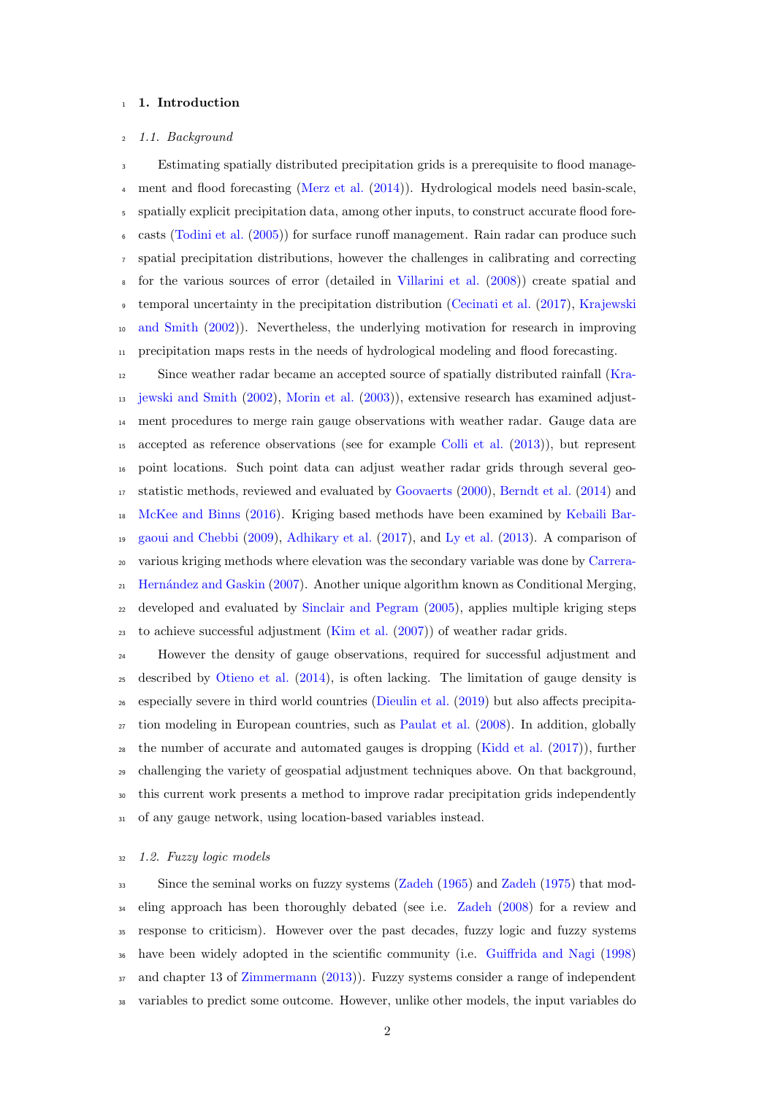# <sup>1</sup> 1. Introduction

#### 1.1. Background

 Estimating spatially distributed precipitation grids is a prerequisite to flood manage- ment and flood forecasting [\(Merz et al.](#page-34-0) [\(2014\)](#page-34-0)). Hydrological models need basin-scale, spatially explicit precipitation data, among other inputs, to construct accurate flood fore- casts [\(Todini et al.](#page-35-0) [\(2005\)](#page-35-0)) for surface runoff management. Rain radar can produce such spatial precipitation distributions, however the challenges in calibrating and correcting for the various sources of error (detailed in [Villarini et al.](#page-35-1) [\(2008\)](#page-35-1)) create spatial and [t](#page-33-0)emporal uncertainty in the precipitation distribution [\(Cecinati et al.](#page-31-0) [\(2017\)](#page-31-0), [Krajewski](#page-33-0) [and Smith](#page-33-0) [\(2002\)](#page-33-0)). Nevertheless, the underlying motivation for research in improving  $_{11}$  precipitation maps rests in the needs of hydrological modeling and flood forecasting.

 Since weather radar became an accepted source of spatially distributed rainfall [\(Kra-](#page-33-0) [jewski and Smith](#page-33-0) [\(2002\)](#page-33-0), [Morin et al.](#page-34-1) [\(2003\)](#page-34-1)), extensive research has examined adjust- ment procedures to merge rain gauge observations with weather radar. Gauge data are accepted as reference observations (see for example [Colli et al.](#page-31-1) [\(2013\)](#page-31-1)), but represent point locations. Such point data can adjust weather radar grids through several geo- statistic methods, reviewed and evaluated by [Goovaerts](#page-32-0) [\(2000\)](#page-32-0), [Berndt et al.](#page-31-2) [\(2014\)](#page-31-2) and [McKee and Binns](#page-33-1) [\(2016\)](#page-33-1). Kriging based methods have been examined by [Kebaili Bar-](#page-33-2) [gaoui and Chebbi](#page-33-2) [\(2009\)](#page-33-2), [Adhikary et al.](#page-31-3) [\(2017\)](#page-31-3), and [Ly et al.](#page-33-3) [\(2013\)](#page-33-3). A comparison of [v](#page-31-4)arious kriging methods where elevation was the secondary variable was done by [Carrera-](#page-31-4) [Hern´andez and Gaskin](#page-31-4) [\(2007\)](#page-31-4). Another unique algorithm known as Conditional Merging, developed and evaluated by [Sinclair and Pegram](#page-35-2) [\(2005\)](#page-35-2), applies multiple kriging steps to achieve successful adjustment [\(Kim et al.](#page-33-4) [\(2007\)](#page-33-4)) of weather radar grids.

 However the density of gauge observations, required for successful adjustment and described by [Otieno et al.](#page-34-2) [\(2014\)](#page-34-2), is often lacking. The limitation of gauge density is especially severe in third world countries [\(Dieulin et al.](#page-32-1) [\(2019\)](#page-32-1) but also affects precipita- tion modeling in European countries, such as [Paulat et al.](#page-34-3) [\(2008\)](#page-34-3). In addition, globally the number of accurate and automated gauges is dropping [\(Kidd et al.](#page-33-5) [\(2017\)](#page-33-5)), further challenging the variety of geospatial adjustment techniques above. On that background, this current work presents a method to improve radar precipitation grids independently of any gauge network, using location-based variables instead.

# <span id="page-2-0"></span>1.2. Fuzzy logic models

 Since the seminal works on fuzzy systems [\(Zadeh](#page-35-3) [\(1965\)](#page-35-3) and [Zadeh](#page-35-4) [\(1975\)](#page-35-4) that mod-<sup>34</sup> eling approach has been thoroughly debated (see i.e. [Zadeh](#page-35-5) [\(2008\)](#page-35-5) for a review and response to criticism). However over the past decades, fuzzy logic and fuzzy systems have been widely adopted in the scientific community (i.e. [Guiffrida and Nagi](#page-32-2) [\(1998\)](#page-32-2) and chapter 13 of [Zimmermann](#page-35-6) [\(2013\)](#page-35-6)). Fuzzy systems consider a range of independent variables to predict some outcome. However, unlike other models, the input variables do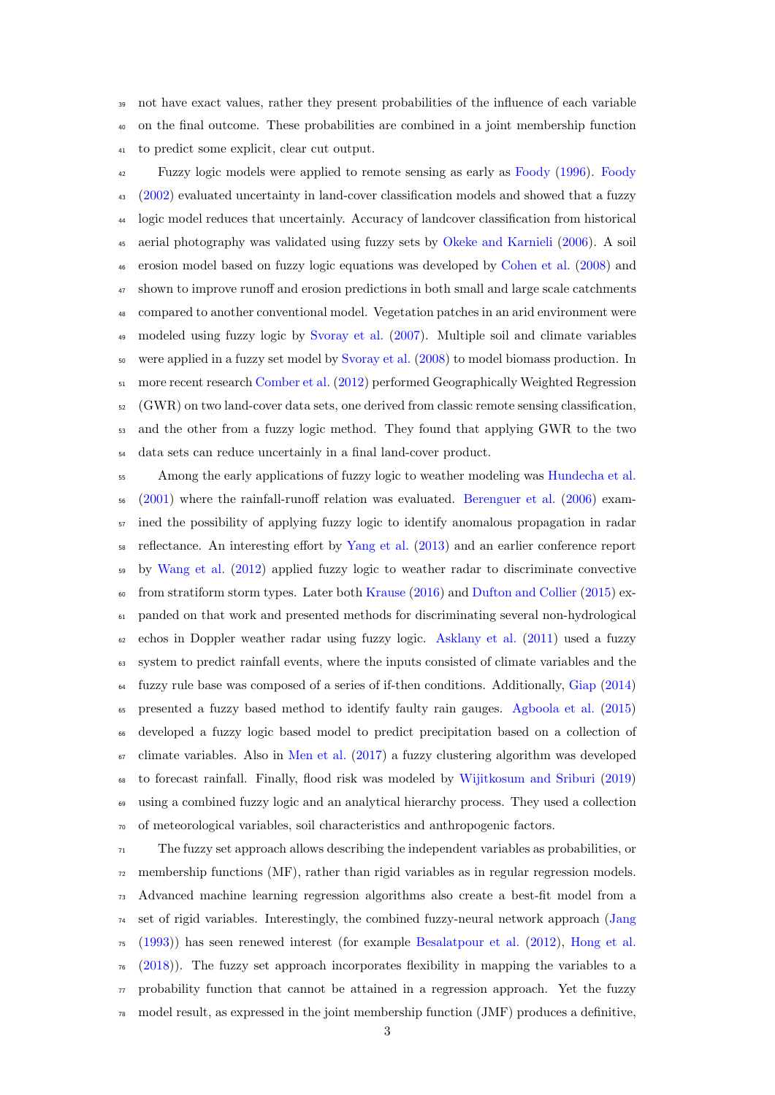not have exact values, rather they present probabilities of the influence of each variable on the final outcome. These probabilities are combined in a joint membership function to predict some explicit, clear cut output.

 Fuzzy logic models were applied to remote sensing as early as [Foody](#page-32-3) [\(1996\)](#page-32-3). [Foody](#page-32-4) [\(2002\)](#page-32-4) evaluated uncertainty in land-cover classification models and showed that a fuzzy logic model reduces that uncertainly. Accuracy of landcover classification from historical aerial photography was validated using fuzzy sets by [Okeke and Karnieli](#page-34-4) [\(2006\)](#page-34-4). A soil erosion model based on fuzzy logic equations was developed by [Cohen et al.](#page-31-5) [\(2008\)](#page-31-5) and shown to improve runoff and erosion predictions in both small and large scale catchments compared to another conventional model. Vegetation patches in an arid environment were modeled using fuzzy logic by [Svoray et al.](#page-35-7) [\(2007\)](#page-35-7). Multiple soil and climate variables were applied in a fuzzy set model by [Svoray et al.](#page-35-8) [\(2008\)](#page-35-8) to model biomass production. In more recent research [Comber et al.](#page-31-6) [\(2012\)](#page-31-6) performed Geographically Weighted Regression  $52 \text{ (GWR)}$  on two land-cover data sets, one derived from classic remote sensing classification, and the other from a fuzzy logic method. They found that applying GWR to the two data sets can reduce uncertainly in a final land-cover product.

 Among the early applications of fuzzy logic to weather modeling was [Hundecha et al.](#page-32-5) [\(2001\)](#page-32-5) where the rainfall-runoff relation was evaluated. [Berenguer et al.](#page-31-7) [\(2006\)](#page-31-7) exam- ined the possibility of applying fuzzy logic to identify anomalous propagation in radar reflectance. An interesting effort by [Yang et al.](#page-35-9) [\(2013\)](#page-35-9) and an earlier conference report by [Wang et al.](#page-35-10) [\(2012\)](#page-35-10) applied fuzzy logic to weather radar to discriminate convective  $\epsilon_0$  from stratiform storm types. Later both [Krause](#page-33-6) [\(2016\)](#page-33-6) and [Dufton and Collier](#page-32-6) [\(2015\)](#page-32-6) ex- panded on that work and presented methods for discriminating several non-hydrological  $\epsilon_2$  echos in Doppler weather radar using fuzzy logic. [Asklany et al.](#page-31-8) [\(2011\)](#page-31-8) used a fuzzy system to predict rainfall events, where the inputs consisted of climate variables and the fuzzy rule base was composed of a series of if-then conditions. Additionally, [Giap](#page-32-7) [\(2014\)](#page-32-7) presented a fuzzy based method to identify faulty rain gauges. [Agboola et al.](#page-31-9) [\(2015\)](#page-31-9) developed a fuzzy logic based model to predict precipitation based on a collection of  $\sigma$  climate variables. Also in [Men et al.](#page-34-5) [\(2017\)](#page-34-5) a fuzzy clustering algorithm was developed to forecast rainfall. Finally, flood risk was modeled by [Wijitkosum and Sriburi](#page-35-11) [\(2019\)](#page-35-11) using a combined fuzzy logic and an analytical hierarchy process. They used a collection of meteorological variables, soil characteristics and anthropogenic factors.

 $\tau_1$  The fuzzy set approach allows describing the independent variables as probabilities, or  $\pi$ <sup>2</sup> membership functions (MF), rather than rigid variables as in regular regression models. Advanced machine learning regression algorithms also create a best-fit model from a set of rigid variables. Interestingly, the combined fuzzy-neural network approach [\(Jang](#page-32-8) [\(1993\)](#page-32-8)) has seen renewed interest (for example [Besalatpour et al.](#page-31-10) [\(2012\)](#page-31-10), [Hong et al.](#page-32-9)  $76 \quad (2018)$  $76 \quad (2018)$ ). The fuzzy set approach incorporates flexibility in mapping the variables to a  $\pi$  probability function that cannot be attained in a regression approach. Yet the fuzzy model result, as expressed in the joint membership function (JMF) produces a definitive,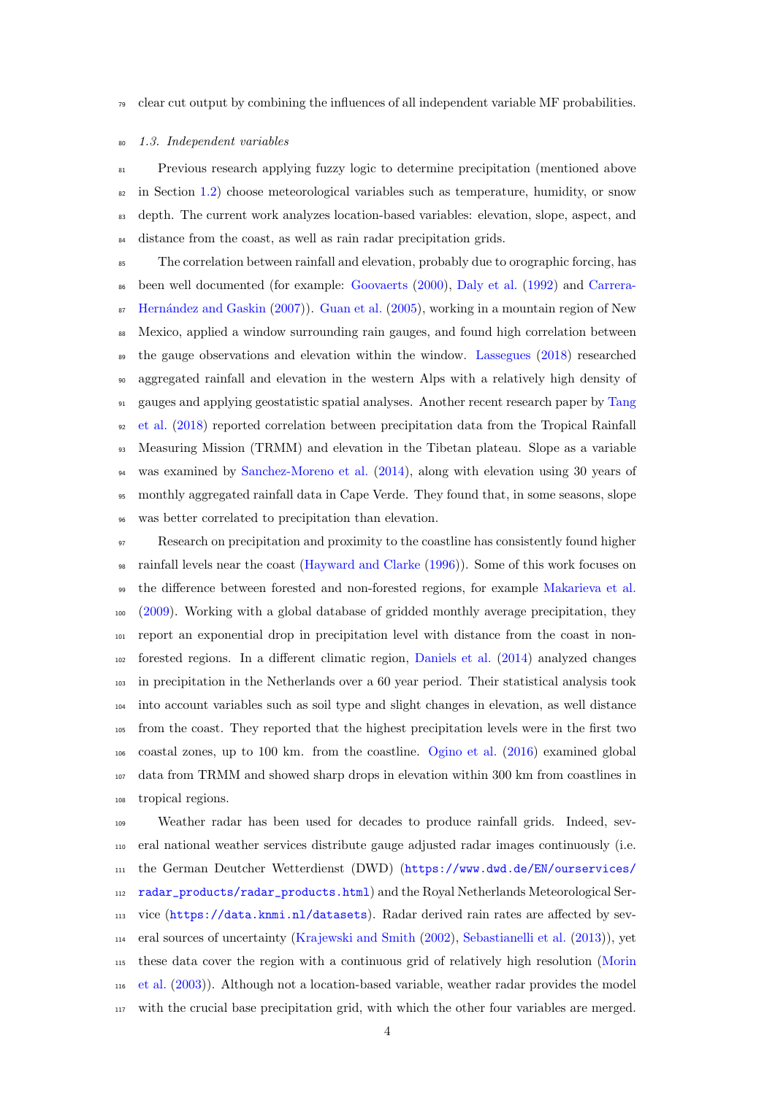#### $\sigma$  clear cut output by combining the influences of all independent variable MF probabilities.

#### <span id="page-4-0"></span>1.3. Independent variables

 Previous research applying fuzzy logic to determine precipitation (mentioned above in Section [1.2\)](#page-2-0) choose meteorological variables such as temperature, humidity, or snow depth. The current work analyzes location-based variables: elevation, slope, aspect, and distance from the coast, as well as rain radar precipitation grids.

 The correlation between rainfall and elevation, probably due to orographic forcing, has [b](#page-31-4)een well documented (for example: [Goovaerts](#page-32-0) [\(2000\)](#page-32-0), [Daly et al.](#page-31-11) [\(1992\)](#page-31-11) and [Carrera-](#page-31-4) $\frac{1}{87}$  Hernández and Gaskin [\(2007\)](#page-31-4)). [Guan et al.](#page-32-10) [\(2005\)](#page-32-10), working in a mountain region of New Mexico, applied a window surrounding rain gauges, and found high correlation between <sup>89</sup> the gauge observations and elevation within the window. [Lassegues](#page-33-7) [\(2018\)](#page-33-7) researched aggregated rainfall and elevation in the western Alps with a relatively high density of [g](#page-35-12)auges and applying geostatistic spatial analyses. Another recent research paper by [Tang](#page-35-12) [et al.](#page-35-12) [\(2018\)](#page-35-12) reported correlation between precipitation data from the Tropical Rainfall Measuring Mission (TRMM) and elevation in the Tibetan plateau. Slope as a variable was examined by [Sanchez-Moreno et al.](#page-34-6) [\(2014\)](#page-34-6), along with elevation using 30 years of monthly aggregated rainfall data in Cape Verde. They found that, in some seasons, slope was better correlated to precipitation than elevation.

 Research on precipitation and proximity to the coastline has consistently found higher rainfall levels near the coast [\(Hayward and Clarke](#page-32-11) [\(1996\)](#page-32-11)). Some of this work focuses on the difference between forested and non-forested regions, for example [Makarieva et al.](#page-33-8) [\(2009\)](#page-33-8). Working with a global database of gridded monthly average precipitation, they report an exponential drop in precipitation level with distance from the coast in non- forested regions. In a different climatic region, [Daniels et al.](#page-32-12) [\(2014\)](#page-32-12) analyzed changes in precipitation in the Netherlands over a 60 year period. Their statistical analysis took into account variables such as soil type and slight changes in elevation, as well distance from the coast. They reported that the highest precipitation levels were in the first two coastal zones, up to 100 km. from the coastline. [Ogino et al.](#page-34-7) [\(2016\)](#page-34-7) examined global data from TRMM and showed sharp drops in elevation within 300 km from coastlines in tropical regions.

 Weather radar has been used for decades to produce rainfall grids. Indeed, sev- eral national weather services distribute gauge adjusted radar images continuously (i.e. [t](https://www.dwd.de/EN/ourservices/radar_products/radar_products.html)he German Deutcher Wetterdienst (DWD) ([https://www.dwd.de/EN/ourservices/](https://www.dwd.de/EN/ourservices/radar_products/radar_products.html) [radar\\_products/radar\\_products.html](https://www.dwd.de/EN/ourservices/radar_products/radar_products.html)) and the Royal Netherlands Meteorological Ser- vice (<https://data.knmi.nl/datasets>). Radar derived rain rates are affected by sev- eral sources of uncertainty [\(Krajewski and Smith](#page-33-0) [\(2002\)](#page-33-0), [Sebastianelli et al.](#page-34-8) [\(2013\)](#page-34-8)), yet [t](#page-34-1)hese data cover the region with a continuous grid of relatively high resolution [\(Morin](#page-34-1) [et al.](#page-34-1) [\(2003\)](#page-34-1)). Although not a location-based variable, weather radar provides the model with the crucial base precipitation grid, with which the other four variables are merged.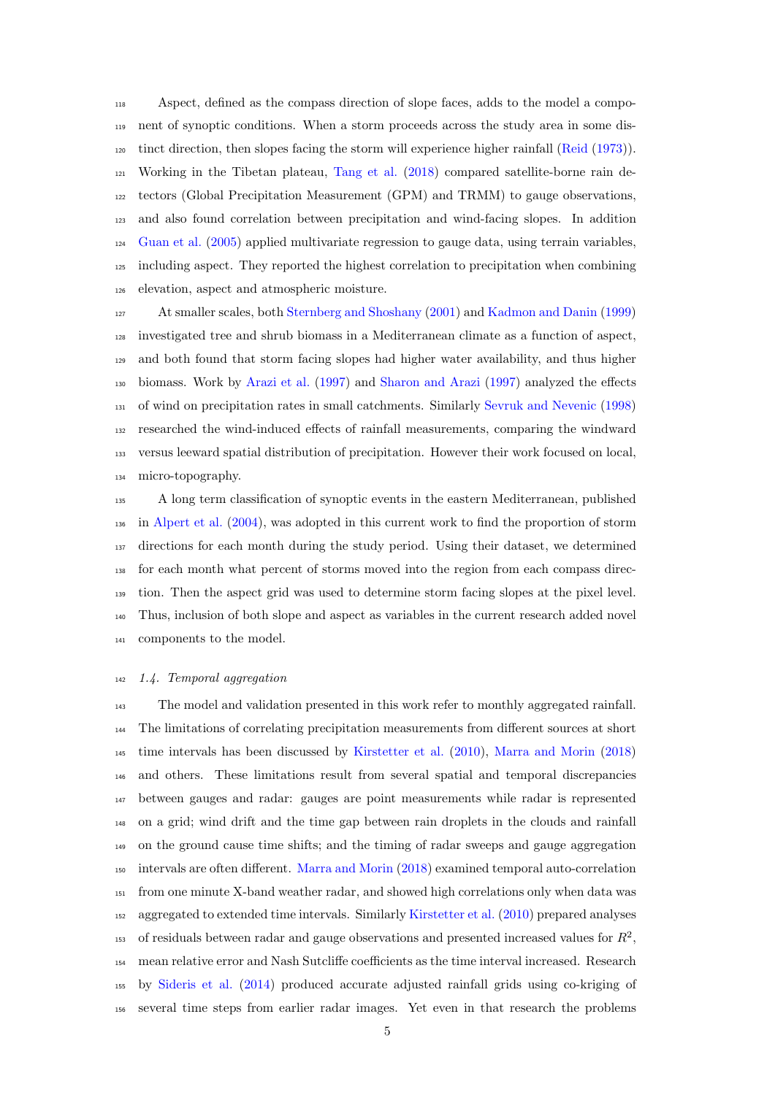Aspect, defined as the compass direction of slope faces, adds to the model a compo- nent of synoptic conditions. When a storm proceeds across the study area in some dis- tinct direction, then slopes facing the storm will experience higher rainfall [\(Reid](#page-34-9) [\(1973\)](#page-34-9)). Working in the Tibetan plateau, [Tang et al.](#page-35-12) [\(2018\)](#page-35-12) compared satellite-borne rain de- tectors (Global Precipitation Measurement (GPM) and TRMM) to gauge observations, and also found correlation between precipitation and wind-facing slopes. In addition [Guan et al.](#page-32-10) [\(2005\)](#page-32-10) applied multivariate regression to gauge data, using terrain variables, including aspect. They reported the highest correlation to precipitation when combining elevation, aspect and atmospheric moisture.

 At smaller scales, both [Sternberg and Shoshany](#page-35-13) [\(2001\)](#page-35-13) and [Kadmon and Danin](#page-33-9) [\(1999\)](#page-33-9) investigated tree and shrub biomass in a Mediterranean climate as a function of aspect, and both found that storm facing slopes had higher water availability, and thus higher biomass. Work by [Arazi et al.](#page-31-12) [\(1997\)](#page-31-12) and [Sharon and Arazi](#page-34-10) [\(1997\)](#page-34-10) analyzed the effects of wind on precipitation rates in small catchments. Similarly [Sevruk and Nevenic](#page-34-11) [\(1998\)](#page-34-11) researched the wind-induced effects of rainfall measurements, comparing the windward versus leeward spatial distribution of precipitation. However their work focused on local, micro-topography.

 A long term classification of synoptic events in the eastern Mediterranean, published in [Alpert et al.](#page-31-13) [\(2004\)](#page-31-13), was adopted in this current work to find the proportion of storm directions for each month during the study period. Using their dataset, we determined for each month what percent of storms moved into the region from each compass direc- tion. Then the aspect grid was used to determine storm facing slopes at the pixel level. Thus, inclusion of both slope and aspect as variables in the current research added novel components to the model.

#### <span id="page-5-0"></span>1.4. Temporal aggregation

 The model and validation presented in this work refer to monthly aggregated rainfall. The limitations of correlating precipitation measurements from different sources at short time intervals has been discussed by [Kirstetter et al.](#page-33-10) [\(2010\)](#page-33-10), [Marra and Morin](#page-33-11) [\(2018\)](#page-33-11) and others. These limitations result from several spatial and temporal discrepancies between gauges and radar: gauges are point measurements while radar is represented on a grid; wind drift and the time gap between rain droplets in the clouds and rainfall on the ground cause time shifts; and the timing of radar sweeps and gauge aggregation intervals are often different. [Marra and Morin](#page-33-11) [\(2018\)](#page-33-11) examined temporal auto-correlation from one minute X-band weather radar, and showed high correlations only when data was aggregated to extended time intervals. Similarly [Kirstetter et al.](#page-33-10) [\(2010\)](#page-33-10) prepared analyses 153 of residuals between radar and gauge observations and presented increased values for  $R^2$ , mean relative error and Nash Sutcliffe coefficients as the time interval increased. Research by [Sideris et al.](#page-35-14) [\(2014\)](#page-35-14) produced accurate adjusted rainfall grids using co-kriging of several time steps from earlier radar images. Yet even in that research the problems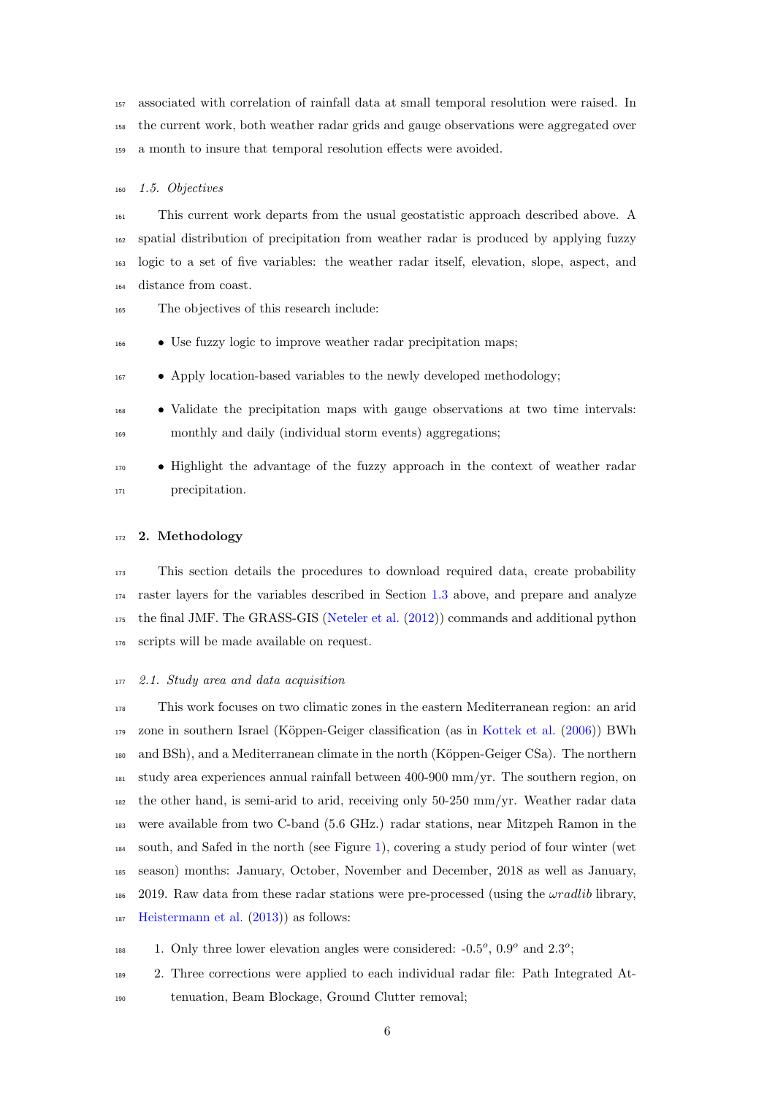associated with correlation of rainfall data at small temporal resolution were raised. In the current work, both weather radar grids and gauge observations were aggregated over a month to insure that temporal resolution effects were avoided.

# 1.5. Objectives

 This current work departs from the usual geostatistic approach described above. A spatial distribution of precipitation from weather radar is produced by applying fuzzy logic to a set of five variables: the weather radar itself, elevation, slope, aspect, and distance from coast.

- The objectives of this research include:
- Use fuzzy logic to improve weather radar precipitation maps;
- <sup>167</sup> Apply location-based variables to the newly developed methodology;
- Validate the precipitation maps with gauge observations at two time intervals: monthly and daily (individual storm events) aggregations;
- Highlight the advantage of the fuzzy approach in the context of weather radar <sup>171</sup> precipitation.

# 172 2. Methodology

 This section details the procedures to download required data, create probability raster layers for the variables described in Section [1.3](#page-4-0) above, and prepare and analyze the final JMF. The GRASS-GIS [\(Neteler et al.](#page-34-12) [\(2012\)](#page-34-12)) commands and additional python scripts will be made available on request.

<span id="page-6-0"></span>2.1. Study area and data acquisition

 This work focuses on two climatic zones in the eastern Mediterranean region: an arid zone in southern Israel (K¨oppen-Geiger classification (as in [Kottek et al.](#page-33-12) [\(2006\)](#page-33-12)) BWh 180 and BSh), and a Mediterranean climate in the north (Köppen-Geiger CSa). The northern study area experiences annual rainfall between 400-900 mm/yr. The southern region, on the other hand, is semi-arid to arid, receiving only 50-250 mm/yr. Weather radar data were available from two C-band (5.6 GHz.) radar stations, near Mitzpeh Ramon in the south, and Safed in the north (see Figure [1\)](#page-7-0), covering a study period of four winter (wet season) months: January, October, November and December, 2018 as well as January, <sup>186</sup> 2019. Raw data from these radar stations were pre-processed (using the  $\omega$ radlib library, [Heistermann et al.](#page-32-13) [\(2013\)](#page-32-13)) as follows:

188 1. Only three lower elevation angles were considered:  $-0.5^{\circ}$ ,  $0.9^{\circ}$  and  $2.3^{\circ}$ ;

 2. Three corrections were applied to each individual radar file: Path Integrated At-tenuation, Beam Blockage, Ground Clutter removal;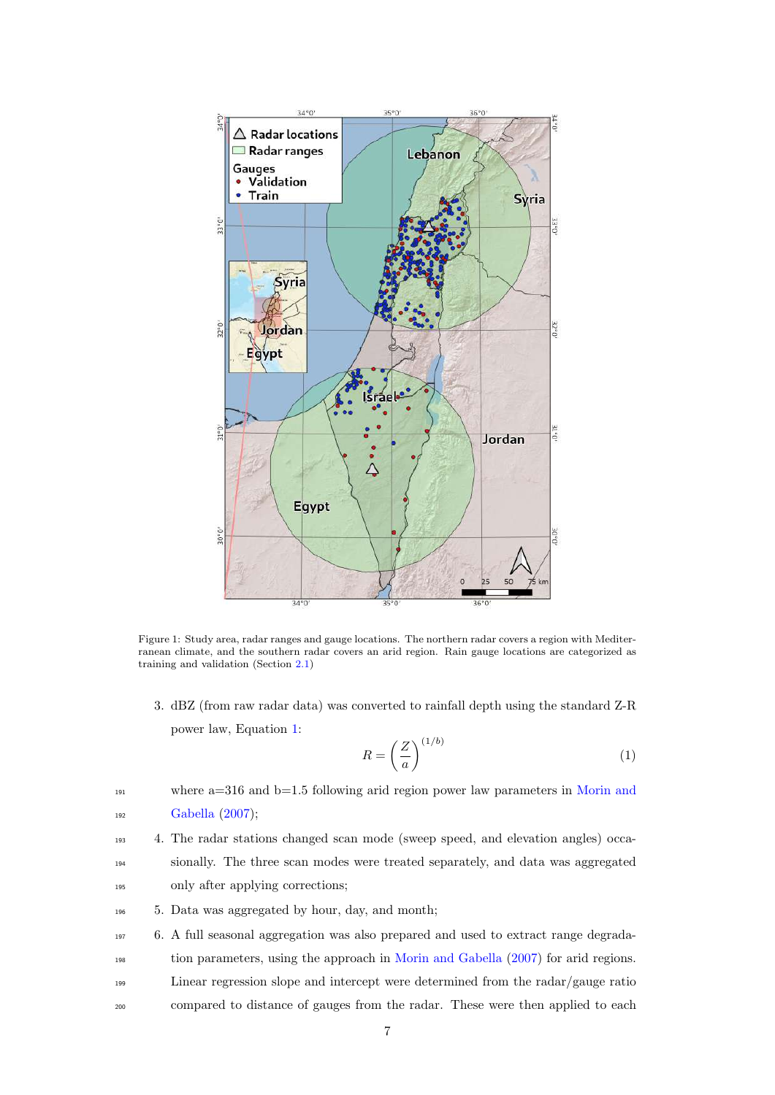<span id="page-7-0"></span>

Figure 1: Study area, radar ranges and gauge locations. The northern radar covers a region with Mediterranean climate, and the southern radar covers an arid region. Rain gauge locations are categorized as training and validation (Section [2.1\)](#page-6-0)

3. dBZ (from raw radar data) was converted to rainfall depth using the standard Z-R power law, Equation [1:](#page-7-1)

<span id="page-7-1"></span>
$$
R = \left(\frac{Z}{a}\right)^{(1/b)}\tag{1}
$$

 $191$  where a=316 and b=1.5 following arid region power law parameters in [Morin and](#page-34-13) <sup>192</sup> [Gabella](#page-34-13) [\(2007\)](#page-34-13);

- <sup>193</sup> 4. The radar stations changed scan mode (sweep speed, and elevation angles) occa-<sup>194</sup> sionally. The three scan modes were treated separately, and data was aggregated <sup>195</sup> only after applying corrections;
- <sup>196</sup> 5. Data was aggregated by hour, day, and month;
- <sup>197</sup> 6. A full seasonal aggregation was also prepared and used to extract range degrada-
- <sup>198</sup> tion parameters, using the approach in [Morin and Gabella](#page-34-13) [\(2007\)](#page-34-13) for arid regions.
- <sup>199</sup> Linear regression slope and intercept were determined from the radar/gauge ratio
- <sup>200</sup> compared to distance of gauges from the radar. These were then applied to each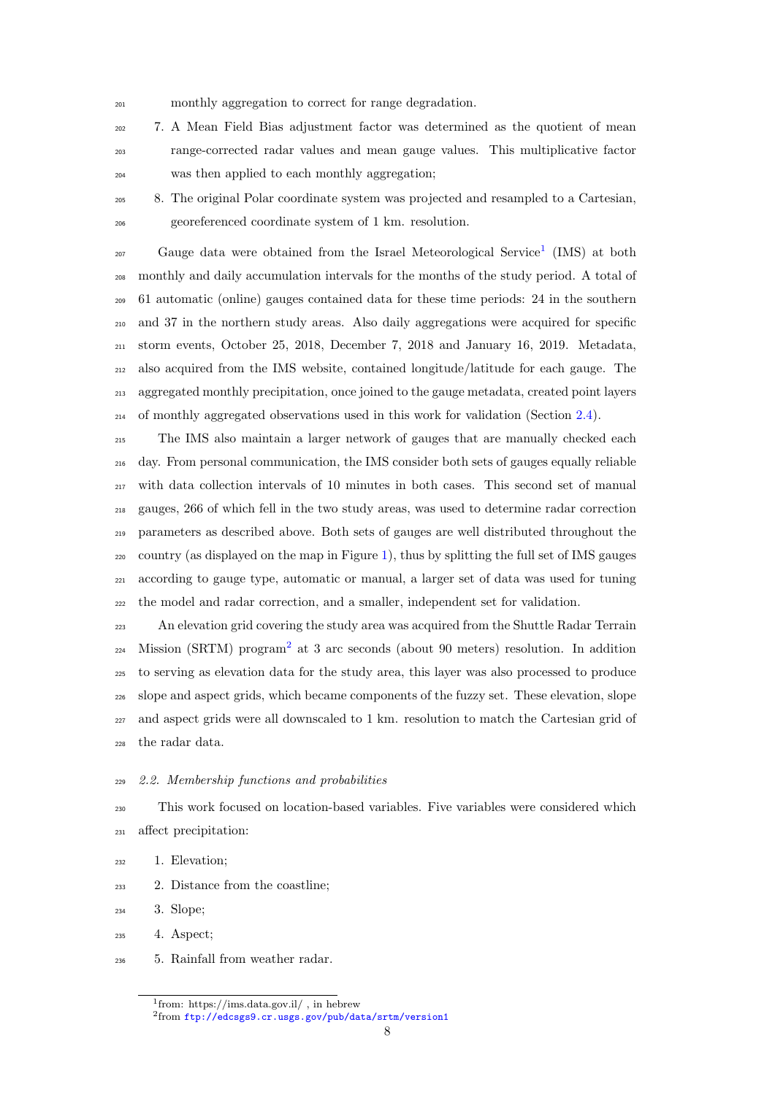monthly aggregation to correct for range degradation.

 7. A Mean Field Bias adjustment factor was determined as the quotient of mean range-corrected radar values and mean gauge values. This multiplicative factor was then applied to each monthly aggregation;

 8. The original Polar coordinate system was projected and resampled to a Cartesian, georeferenced coordinate system of 1 km. resolution.

<sup>207</sup> Gauge data were obtained from the Israel Meteorological Service<sup>[1](#page-1-0)</sup> (IMS) at both monthly and daily accumulation intervals for the months of the study period. A total of 61 automatic (online) gauges contained data for these time periods: 24 in the southern and 37 in the northern study areas. Also daily aggregations were acquired for specific storm events, October 25, 2018, December 7, 2018 and January 16, 2019. Metadata, also acquired from the IMS website, contained longitude/latitude for each gauge. The aggregated monthly precipitation, once joined to the gauge metadata, created point layers of monthly aggregated observations used in this work for validation (Section [2.4\)](#page-13-0).

 The IMS also maintain a larger network of gauges that are manually checked each day. From personal communication, the IMS consider both sets of gauges equally reliable with data collection intervals of 10 minutes in both cases. This second set of manual gauges, 266 of which fell in the two study areas, was used to determine radar correction parameters as described above. Both sets of gauges are well distributed throughout the  $_{220}$  country (as displayed on the map in Figure [1\)](#page-7-0), thus by splitting the full set of IMS gauges according to gauge type, automatic or manual, a larger set of data was used for tuning the model and radar correction, and a smaller, independent set for validation.

 An elevation grid covering the study area was acquired from the Shuttle Radar Terrain  $_{224}$  $_{224}$  $_{224}$  Mission (SRTM) program<sup>2</sup> at 3 arc seconds (about 90 meters) resolution. In addition to serving as elevation data for the study area, this layer was also processed to produce slope and aspect grids, which became components of the fuzzy set. These elevation, slope and aspect grids were all downscaled to 1 km. resolution to match the Cartesian grid of the radar data.

# <span id="page-8-0"></span>2.2. Membership functions and probabilities

 This work focused on location-based variables. Five variables were considered which affect precipitation:

- 1. Elevation;
- 2. Distance from the coastline;

3. Slope;

- 4. Aspect;
- 5. Rainfall from weather radar.

from: https://ims.data.gov.il/ , in hebrew

from <ftp://edcsgs9.cr.usgs.gov/pub/data/srtm/version1>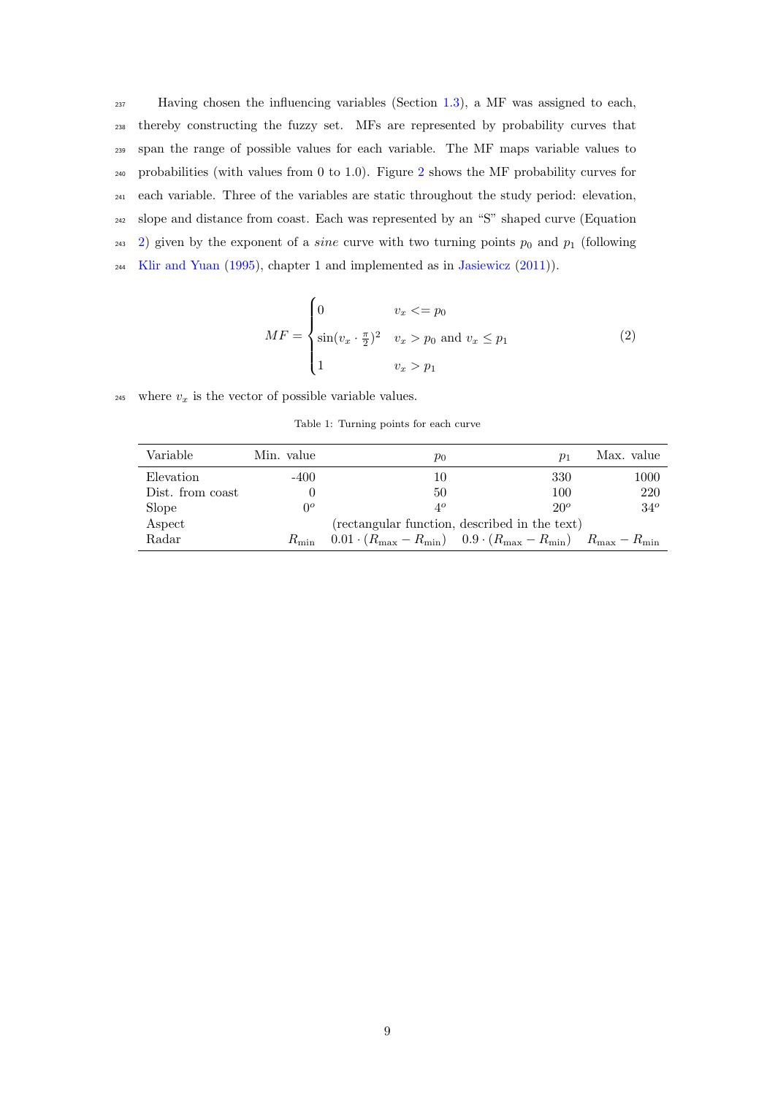Having chosen the influencing variables (Section [1.3\)](#page-4-0), a MF was assigned to each, thereby constructing the fuzzy set. MFs are represented by probability curves that span the range of possible values for each variable. The MF maps variable values to probabilities (with values from 0 to 1.0). Figure [2](#page-10-0) shows the MF probability curves for each variable. Three of the variables are static throughout the study period: elevation, slope and distance from coast. Each was represented by an "S" shaped curve (Equation <sup>243</sup> [2\)](#page-9-0) given by the exponent of a *sine* curve with two turning points  $p_0$  and  $p_1$  (following [Klir and Yuan](#page-33-13) [\(1995\)](#page-33-13), chapter 1 and implemented as in [Jasiewicz](#page-32-14) [\(2011\)](#page-32-14)).

$$
MF = \begin{cases} 0 & v_x < = p_0 \\ \sin(v_x \cdot \frac{\pi}{2})^2 & v_x > p_0 \text{ and } v_x \le p_1 \\ 1 & v_x > p_1 \end{cases}
$$
 (2)

<span id="page-9-1"></span><span id="page-9-0"></span>245 where  $v_x$  is the vector of possible variable values.

Table 1: Turning points for each curve

| Variable         | Min. value | $p_0$                                                                                     | $p_1$  | Max. value   |
|------------------|------------|-------------------------------------------------------------------------------------------|--------|--------------|
| Elevation        | -400       | 10                                                                                        | 330    | 1000         |
| Dist. from coast |            | 50                                                                                        | 100    | 220          |
| Slope            | $0^o$      | $4^{\circ}$                                                                               | $20^o$ | $34^{\circ}$ |
| Aspect           |            | (rectangular function, described in the text)                                             |        |              |
| Radar            |            | $R_{\min}$ 0.01 $(R_{\max} - R_{\min})$ 0.9 $(R_{\max} - R_{\min})$ $R_{\max} - R_{\min}$ |        |              |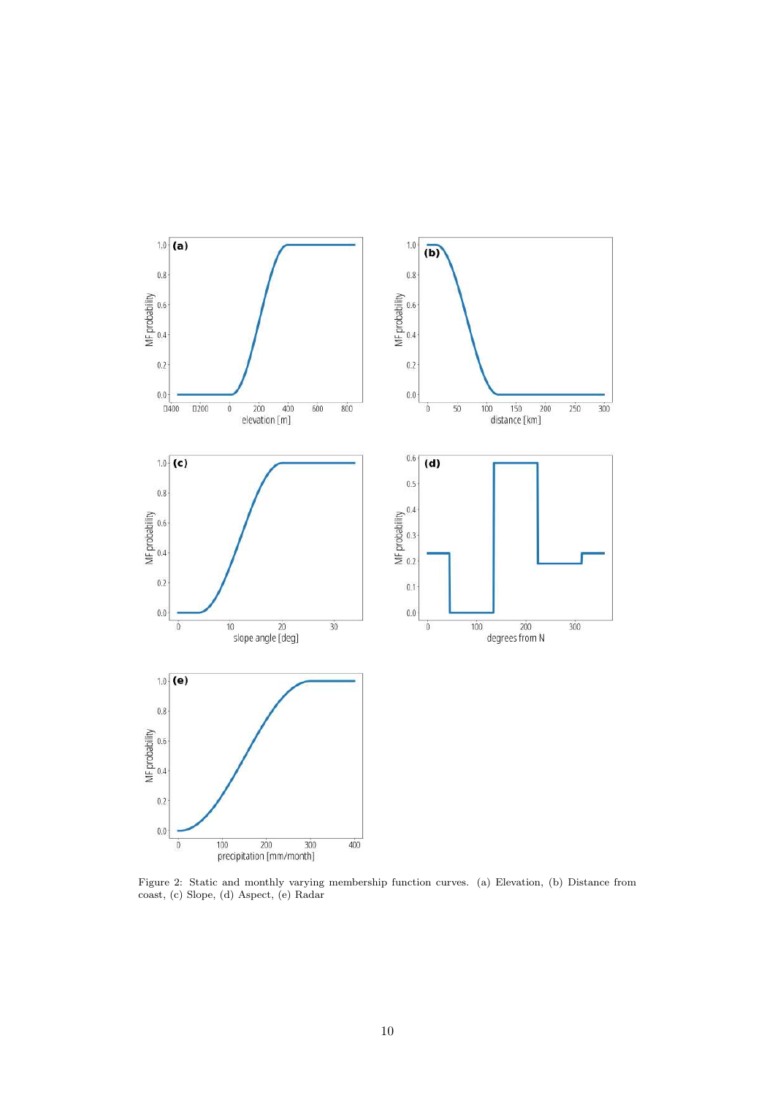<span id="page-10-0"></span>

Figure 2: Static and monthly varying membership function curves. (a) Elevation, (b) Distance from coast, (c) Slope, (d) Aspect, (e) Radar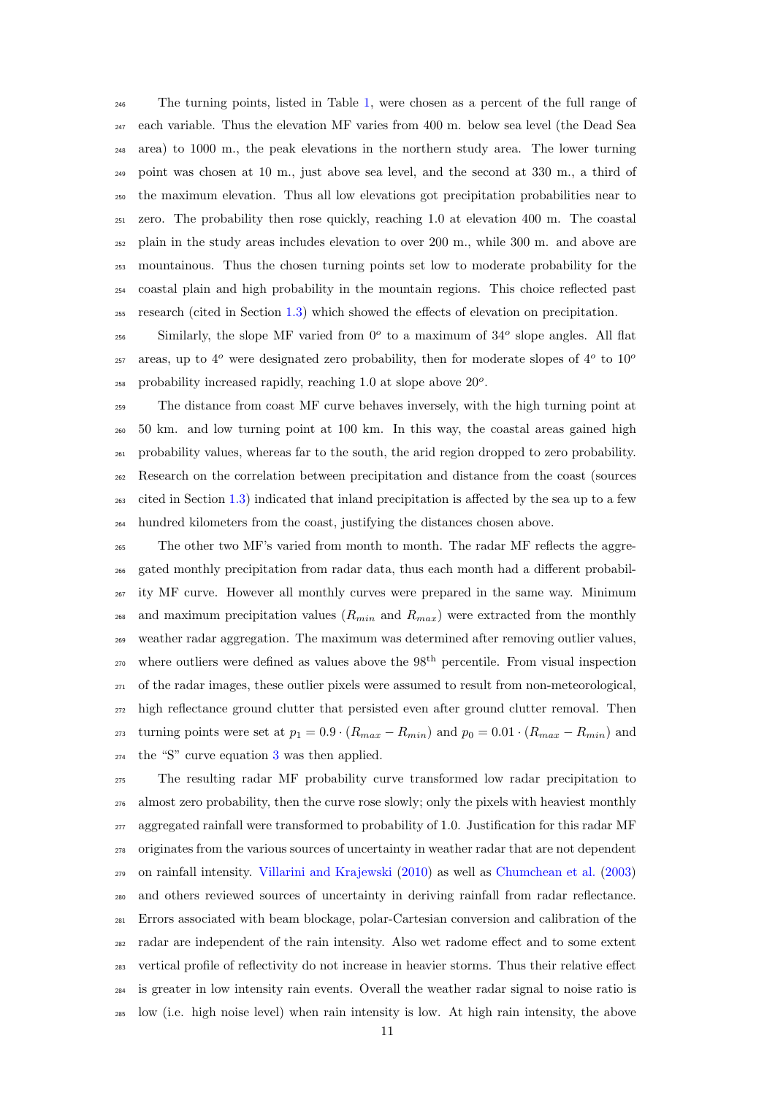The turning points, listed in Table [1,](#page-9-1) were chosen as a percent of the full range of each variable. Thus the elevation MF varies from 400 m. below sea level (the Dead Sea area) to 1000 m., the peak elevations in the northern study area. The lower turning point was chosen at 10 m., just above sea level, and the second at 330 m., a third of the maximum elevation. Thus all low elevations got precipitation probabilities near to zero. The probability then rose quickly, reaching 1.0 at elevation 400 m. The coastal plain in the study areas includes elevation to over 200 m., while 300 m. and above are mountainous. Thus the chosen turning points set low to moderate probability for the coastal plain and high probability in the mountain regions. This choice reflected past research (cited in Section [1.3\)](#page-4-0) which showed the effects of elevation on precipitation.

 Similarly, the slope MF varied from  $0^{\circ}$  to a maximum of  $34^{\circ}$  slope angles. All flat areas, up to  $4^o$  were designated zero probability, then for moderate slopes of  $4^o$  to  $10^o$   $_{258}$  probability increased rapidly, reaching 1.0 at slope above  $20^{\circ}$ .

 The distance from coast MF curve behaves inversely, with the high turning point at 50 km. and low turning point at 100 km. In this way, the coastal areas gained high probability values, whereas far to the south, the arid region dropped to zero probability. Research on the correlation between precipitation and distance from the coast (sources cited in Section [1.3\)](#page-4-0) indicated that inland precipitation is affected by the sea up to a few hundred kilometers from the coast, justifying the distances chosen above.

 The other two MF's varied from month to month. The radar MF reflects the aggre- gated monthly precipitation from radar data, thus each month had a different probabil- ity MF curve. However all monthly curves were prepared in the same way. Minimum <sup>268</sup> and maximum precipitation values  $(R_{min}$  and  $R_{max}$ ) were extracted from the monthly weather radar aggregation. The maximum was determined after removing outlier values,  $_{270}$  where outliers were defined as values above the  $98<sup>th</sup>$  percentile. From visual inspection of the radar images, these outlier pixels were assumed to result from non-meteorological, high reflectance ground clutter that persisted even after ground clutter removal. Then <sup>273</sup> turning points were set at  $p_1 = 0.9 \cdot (R_{max} - R_{min})$  and  $p_0 = 0.01 \cdot (R_{max} - R_{min})$  and the "S" curve equation [3](#page-12-0) was then applied.

 The resulting radar MF probability curve transformed low radar precipitation to almost zero probability, then the curve rose slowly; only the pixels with heaviest monthly  $_{277}$  aggregated rainfall were transformed to probability of 1.0. Justification for this radar MF originates from the various sources of uncertainty in weather radar that are not dependent on rainfall intensity. [Villarini and Krajewski](#page-35-15) [\(2010\)](#page-35-15) as well as [Chumchean et al.](#page-31-14) [\(2003\)](#page-31-14) and others reviewed sources of uncertainty in deriving rainfall from radar reflectance. Errors associated with beam blockage, polar-Cartesian conversion and calibration of the radar are independent of the rain intensity. Also wet radome effect and to some extent vertical profile of reflectivity do not increase in heavier storms. Thus their relative effect is greater in low intensity rain events. Overall the weather radar signal to noise ratio is low (i.e. high noise level) when rain intensity is low. At high rain intensity, the above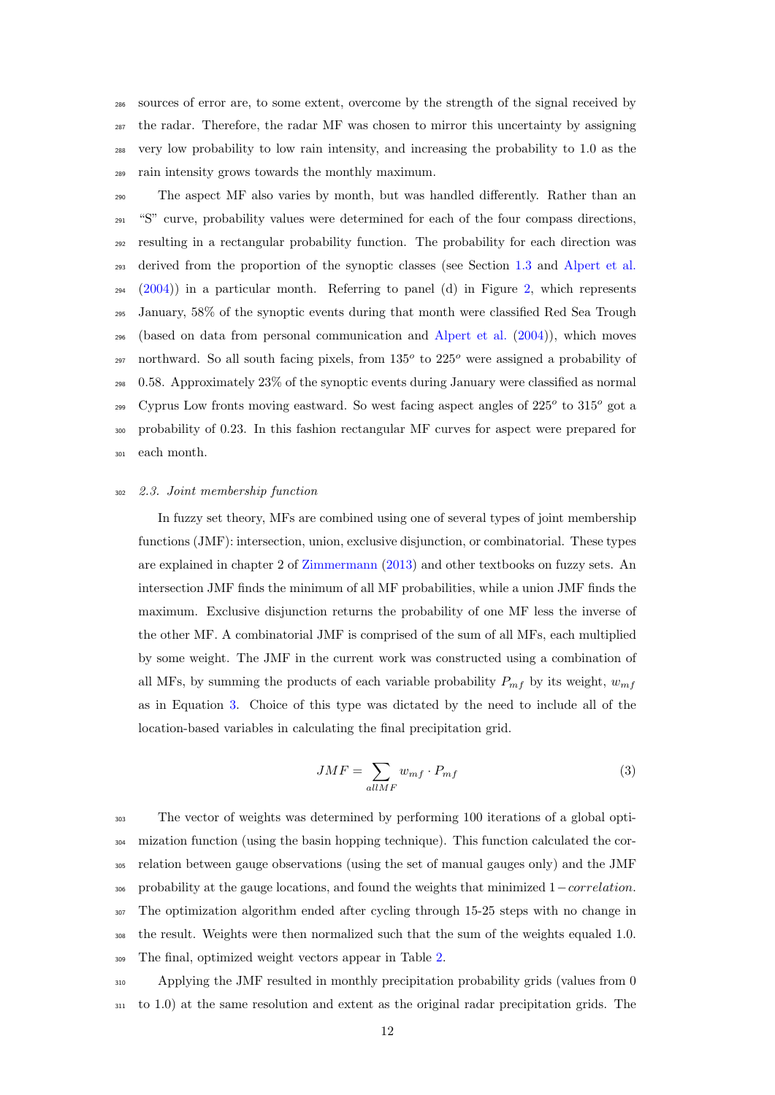sources of error are, to some extent, overcome by the strength of the signal received by the radar. Therefore, the radar MF was chosen to mirror this uncertainty by assigning very low probability to low rain intensity, and increasing the probability to 1.0 as the rain intensity grows towards the monthly maximum.

 The aspect MF also varies by month, but was handled differently. Rather than an "S" curve, probability values were determined for each of the four compass directions, resulting in a rectangular probability function. The probability for each direction was derived from the proportion of the synoptic classes (see Section [1.3](#page-4-0) and [Alpert et al.](#page-31-13)  $294 \quad (2004)$  $294 \quad (2004)$ ) in a particular month. Referring to panel (d) in Figure [2,](#page-10-0) which represents January, 58% of the synoptic events during that month were classified Red Sea Trough (based on data from personal communication and [Alpert et al.](#page-31-13) [\(2004\)](#page-31-13)), which moves 297 northward. So all south facing pixels, from  $135^{\circ}$  to  $225^{\circ}$  were assigned a probability of 0.58. Approximately 23% of the synoptic events during January were classified as normal Cyprus Low fronts moving eastward. So west facing aspect angles of  $225^{\circ}$  to  $315^{\circ}$  got a probability of 0.23. In this fashion rectangular MF curves for aspect were prepared for each month.

# <span id="page-12-1"></span><sup>302</sup> 2.3. Joint membership function

In fuzzy set theory, MFs are combined using one of several types of joint membership functions (JMF): intersection, union, exclusive disjunction, or combinatorial. These types are explained in chapter 2 of [Zimmermann](#page-35-6) [\(2013\)](#page-35-6) and other textbooks on fuzzy sets. An intersection JMF finds the minimum of all MF probabilities, while a union JMF finds the maximum. Exclusive disjunction returns the probability of one MF less the inverse of the other MF. A combinatorial JMF is comprised of the sum of all MFs, each multiplied by some weight. The JMF in the current work was constructed using a combination of all MFs, by summing the products of each variable probability  $P_{m}$  by its weight,  $w_{m}$ as in Equation [3.](#page-12-0) Choice of this type was dictated by the need to include all of the location-based variables in calculating the final precipitation grid.

<span id="page-12-0"></span>
$$
JMF = \sum_{allMF} w_{mf} \cdot P_{mf} \tag{3}
$$

 The vector of weights was determined by performing 100 iterations of a global opti- mization function (using the basin hopping technique). This function calculated the cor- relation between gauge observations (using the set of manual gauges only) and the JMF <sup>306</sup> probability at the gauge locations, and found the weights that minimized 1*−correlation*. The optimization algorithm ended after cycling through 15-25 steps with no change in the result. Weights were then normalized such that the sum of the weights equaled 1.0. The final, optimized weight vectors appear in Table [2.](#page-13-1)

 $\Delta_{310}$  Applying the JMF resulted in monthly precipitation probability grids (values from 0 <sup>311</sup> to 1.0) at the same resolution and extent as the original radar precipitation grids. The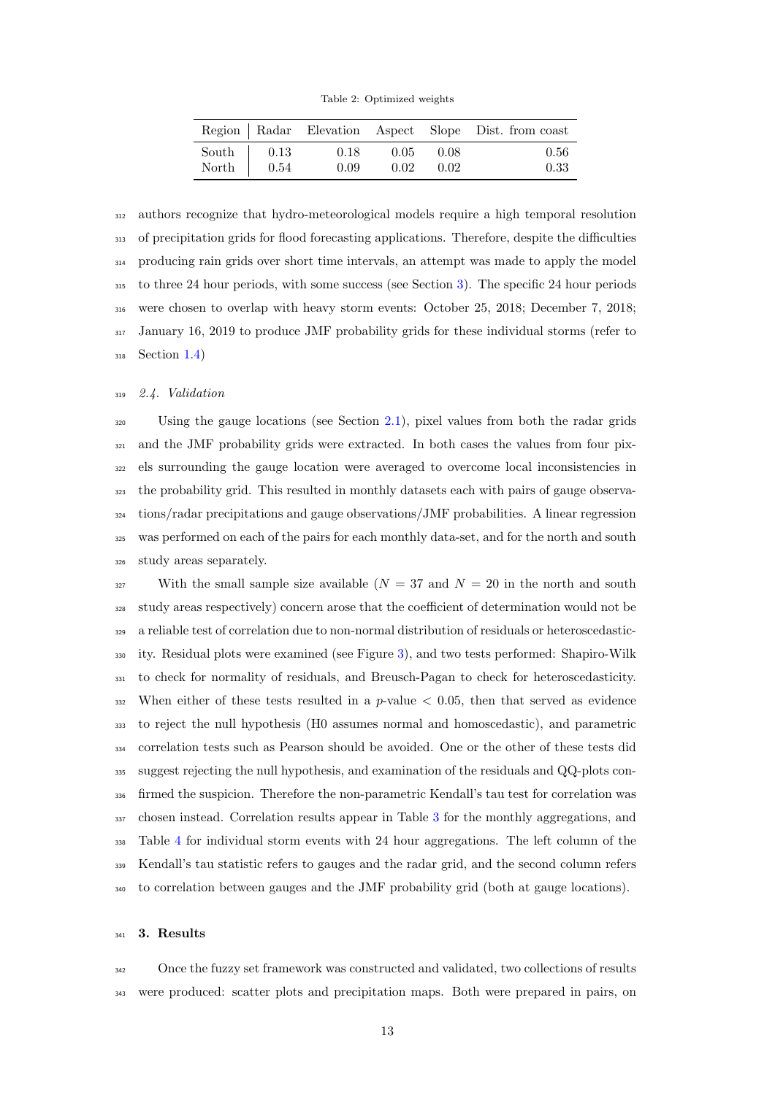Table 2: Optimized weights

<span id="page-13-1"></span>

|                    |      |      |       | Region   Radar Elevation Aspect Slope Dist. from coast |
|--------------------|------|------|-------|--------------------------------------------------------|
| South $\vert$ 0.13 | 0.18 | 0.05 | -0.08 | 0.56                                                   |
| North $\vert$ 0.54 | 0.09 | 0.02 | 0.02  | 0.33                                                   |

 authors recognize that hydro-meteorological models require a high temporal resolution of precipitation grids for flood forecasting applications. Therefore, despite the difficulties producing rain grids over short time intervals, an attempt was made to apply the model to three 24 hour periods, with some success (see Section [3\)](#page-13-2). The specific 24 hour periods were chosen to overlap with heavy storm events: October 25, 2018; December 7, 2018; January 16, 2019 to produce JMF probability grids for these individual storms (refer to Section [1.4\)](#page-5-0)

# <span id="page-13-0"></span>2.4. Validation

 Using the gauge locations (see Section [2.1\)](#page-6-0), pixel values from both the radar grids and the JMF probability grids were extracted. In both cases the values from four pix- els surrounding the gauge location were averaged to overcome local inconsistencies in the probability grid. This resulted in monthly datasets each with pairs of gauge observa- tions/radar precipitations and gauge observations/JMF probabilities. A linear regression was performed on each of the pairs for each monthly data-set, and for the north and south study areas separately.

327 With the small sample size available  $(N = 37 \text{ and } N = 20 \text{ in the north and south})$  study areas respectively) concern arose that the coefficient of determination would not be a reliable test of correlation due to non-normal distribution of residuals or heteroscedastic- ity. Residual plots were examined (see Figure [3\)](#page-14-0), and two tests performed: Shapiro-Wilk to check for normality of residuals, and Breusch-Pagan to check for heteroscedasticity. 332 When either of these tests resulted in a  $p$ -value  $\lt$  0.05, then that served as evidence to reject the null hypothesis (H0 assumes normal and homoscedastic), and parametric correlation tests such as Pearson should be avoided. One or the other of these tests did suggest rejecting the null hypothesis, and examination of the residuals and QQ-plots con- firmed the suspicion. Therefore the non-parametric Kendall's tau test for correlation was chosen instead. Correlation results appear in Table [3](#page-17-0) for the monthly aggregations, and Table [4](#page-17-1) for individual storm events with 24 hour aggregations. The left column of the Kendall's tau statistic refers to gauges and the radar grid, and the second column refers to correlation between gauges and the JMF probability grid (both at gauge locations).

# <span id="page-13-2"></span>3. Results

 Once the fuzzy set framework was constructed and validated, two collections of results were produced: scatter plots and precipitation maps. Both were prepared in pairs, on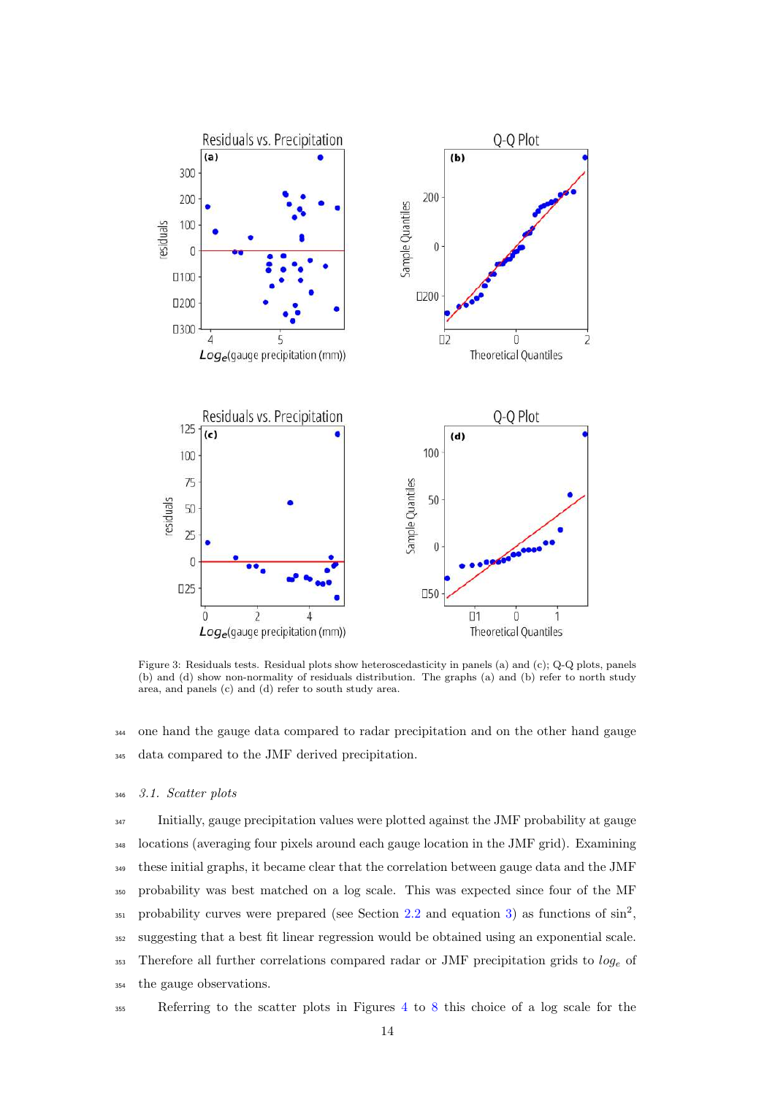<span id="page-14-0"></span>

Figure 3: Residuals tests. Residual plots show heteroscedasticity in panels (a) and (c); Q-Q plots, panels (b) and (d) show non-normality of residuals distribution. The graphs (a) and (b) refer to north study area, and panels (c) and (d) refer to south study area.

 one hand the gauge data compared to radar precipitation and on the other hand gauge data compared to the JMF derived precipitation.

# 3.1. Scatter plots

 Initially, gauge precipitation values were plotted against the JMF probability at gauge locations (averaging four pixels around each gauge location in the JMF grid). Examining these initial graphs, it became clear that the correlation between gauge data and the JMF probability was best matched on a log scale. This was expected since four of the MF 351 probability curves were prepared (see Section [2.2](#page-8-0) and equation [3\)](#page-12-0) as functions of  $\sin^2$ , suggesting that a best fit linear regression would be obtained using an exponential scale. 353 Therefore all further correlations compared radar or JMF precipitation grids to  $log_e$  of the gauge observations.

Referring to the scatter plots in Figures [4](#page-16-0) to [8](#page-21-0) this choice of a log scale for the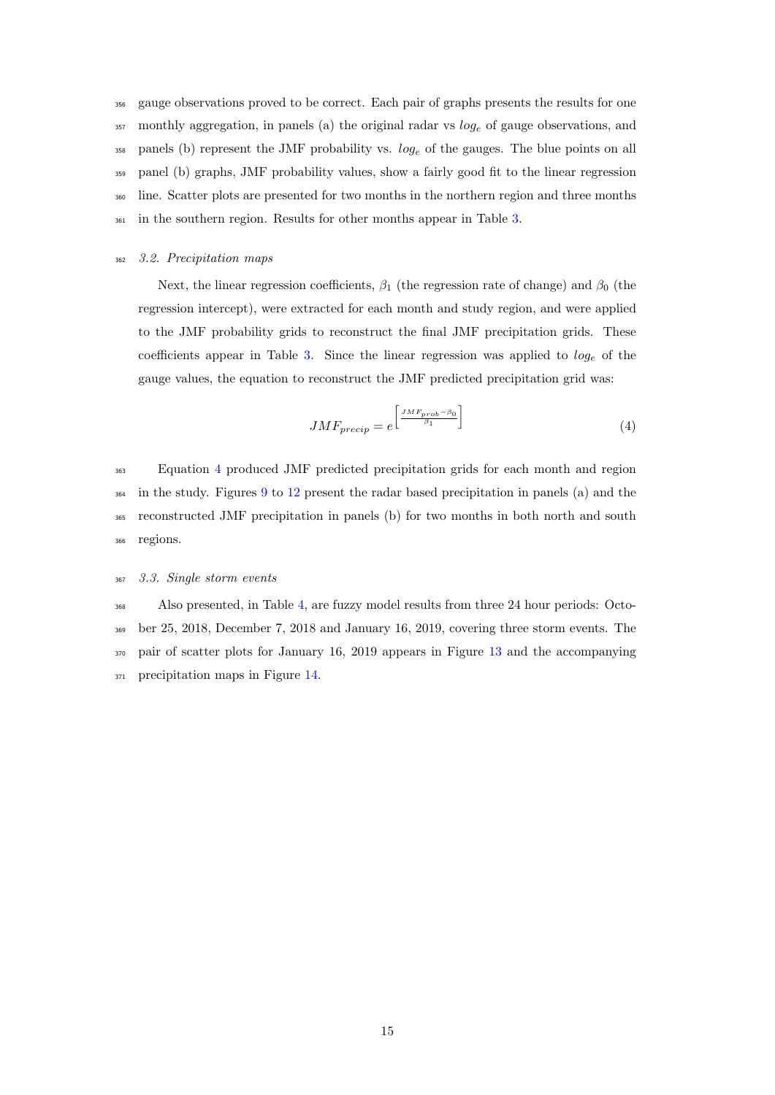gauge observations proved to be correct. Each pair of graphs presents the results for one monthly aggregation, in panels (a) the original radar vs  $log_e$  of gauge observations, and panels (b) represent the JMF probability vs.  $log_e$  of the gauges. The blue points on all panel (b) graphs, JMF probability values, show a fairly good fit to the linear regression <sup>360</sup> line. Scatter plots are presented for two months in the northern region and three months in the southern region. Results for other months appear in Table [3.](#page-17-0)

<span id="page-15-1"></span><sup>362</sup> 3.2. Precipitation maps

Next, the linear regression coefficients,  $\beta_1$  (the regression rate of change) and  $\beta_0$  (the regression intercept), were extracted for each month and study region, and were applied to the JMF probability grids to reconstruct the final JMF precipitation grids. These coefficients appear in Table [3.](#page-17-0) Since the linear regression was applied to  $log_e$  of the gauge values, the equation to reconstruct the JMF predicted precipitation grid was:

<span id="page-15-0"></span>
$$
JMF_{\text{precip}} = e^{\left[\frac{JMF_{\text{prob}} - \beta_0}{\beta_1}\right]}
$$
\n<sup>(4)</sup>

 Equation [4](#page-15-0) produced JMF predicted precipitation grids for each month and region in the study. Figures [9](#page-22-0) to [12](#page-23-0) present the radar based precipitation in panels (a) and the reconstructed JMF precipitation in panels (b) for two months in both north and south <sup>366</sup> regions.

# <sup>367</sup> 3.3. Single storm events

 Also presented, in Table [4,](#page-17-1) are fuzzy model results from three 24 hour periods: Octo- ber 25, 2018, December 7, 2018 and January 16, 2019, covering three storm events. The pair of scatter plots for January 16, 2019 appears in Figure [13](#page-24-0) and the accompanying precipitation maps in Figure [14.](#page-25-0)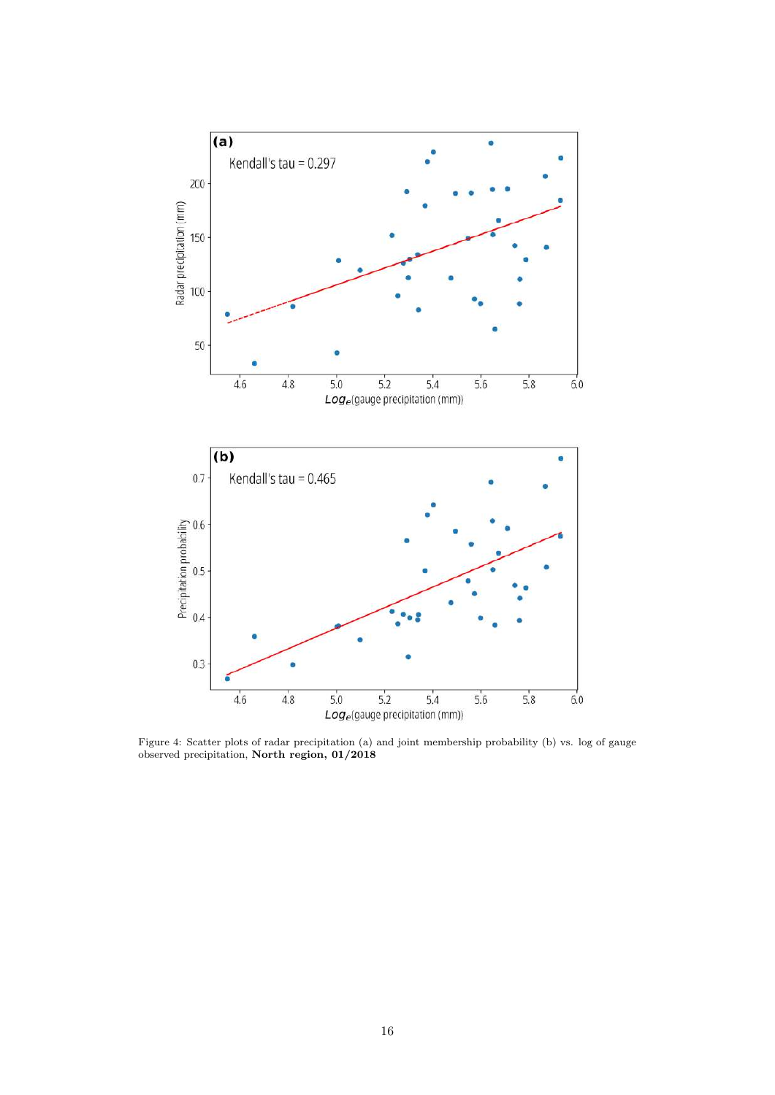<span id="page-16-0"></span>

Figure 4: Scatter plots of radar precipitation (a) and joint membership probability (b) vs. log of gauge observed precipitation, North region, 01/2018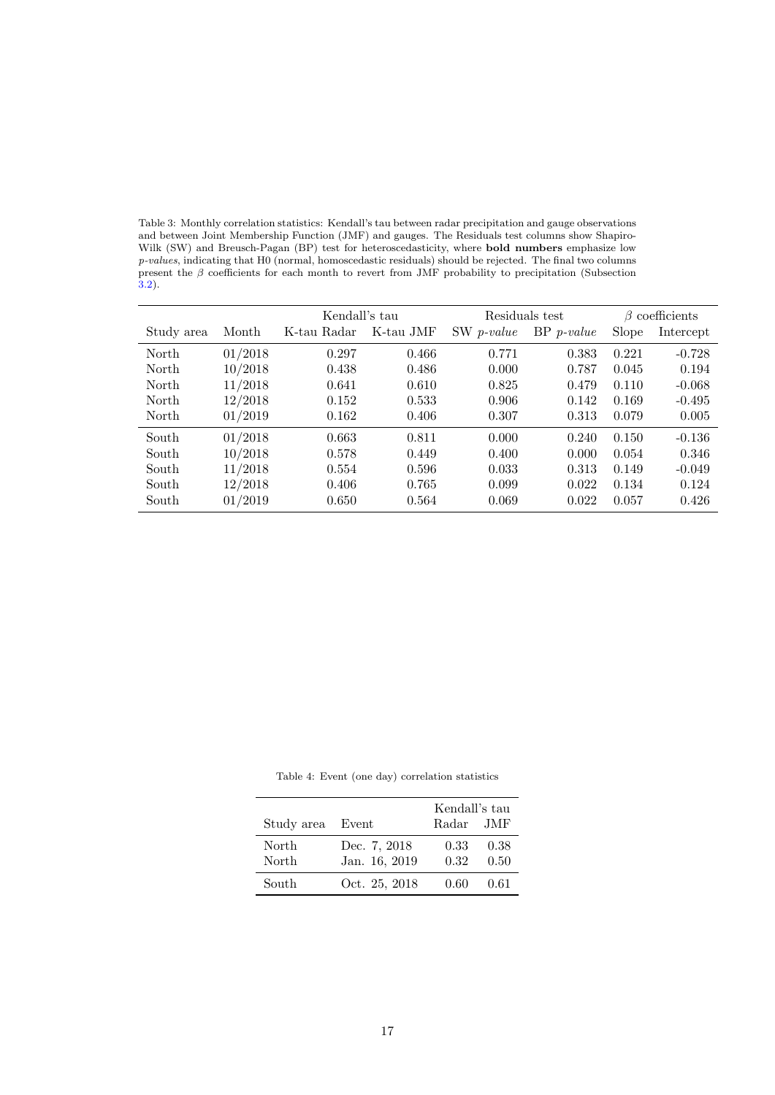<span id="page-17-0"></span>Table 3: Monthly correlation statistics: Kendall's tau between radar precipitation and gauge observations and between Joint Membership Function (JMF) and gauges. The Residuals test columns show Shapiro-Wilk (SW) and Breusch-Pagan (BP) test for heteroscedasticity, where **bold numbers** emphasize low p-values, indicating that H0 (normal, homoscedastic residuals) should be rejected. The final two columns  $ρ$  cartes, matedring that its (Horman, Homoseculation contains) should be registed. The line was estimated present the  $β$  coefficients for each month to revert from JMF probability to precipitation (Subsection [3.2\)](#page-15-1).

|            |         | Kendall's tau |           | Residuals test |              | $\beta$ coefficients |           |
|------------|---------|---------------|-----------|----------------|--------------|----------------------|-----------|
| Study area | Month   | K-tau Radar   | K-tau JMF | SW p-value     | $BP$ p-value | Slope                | Intercept |
| North      | 01/2018 | 0.297         | 0.466     | 0.771          | 0.383        | 0.221                | $-0.728$  |
| North      | 10/2018 | 0.438         | 0.486     | 0.000          | 0.787        | 0.045                | 0.194     |
| North      | 11/2018 | 0.641         | 0.610     | 0.825          | 0.479        | 0.110                | $-0.068$  |
| North      | 12/2018 | 0.152         | 0.533     | 0.906          | 0.142        | 0.169                | $-0.495$  |
| North      | 01/2019 | 0.162         | 0.406     | 0.307          | 0.313        | 0.079                | 0.005     |
| South      | 01/2018 | 0.663         | 0.811     | 0.000          | 0.240        | 0.150                | $-0.136$  |
| South      | 10/2018 | 0.578         | 0.449     | 0.400          | 0.000        | 0.054                | 0.346     |
| South      | 11/2018 | 0.554         | 0.596     | 0.033          | 0.313        | 0.149                | $-0.049$  |
| South      | 12/2018 | 0.406         | 0.765     | 0.099          | 0.022        | 0.134                | 0.124     |
| South      | 01/2019 | 0.650         | 0.564     | 0.069          | 0.022        | 0.057                | 0.426     |

<span id="page-17-1"></span>

|                  |               | Kendall's tau |      |
|------------------|---------------|---------------|------|
| Study area Event |               | Radar JMF     |      |
| North            | Dec. 7, 2018  | 0.33          | 0.38 |
| North            | Jan. 16, 2019 | 0.32          | 0.50 |
| South            | Oct. 25, 2018 | 0.60          | 0.61 |

Table 4: Event (one day) correlation statistics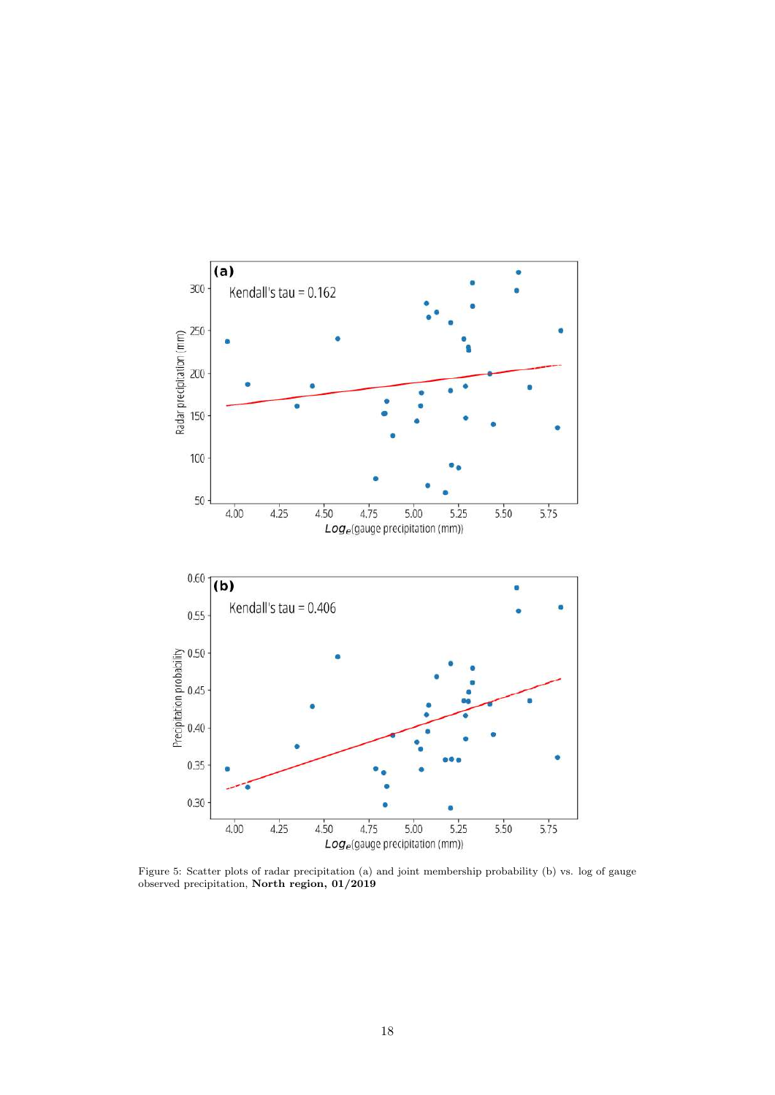

Figure 5: Scatter plots of radar precipitation (a) and joint membership probability (b) vs. log of gauge observed precipitation, North region, 01/2019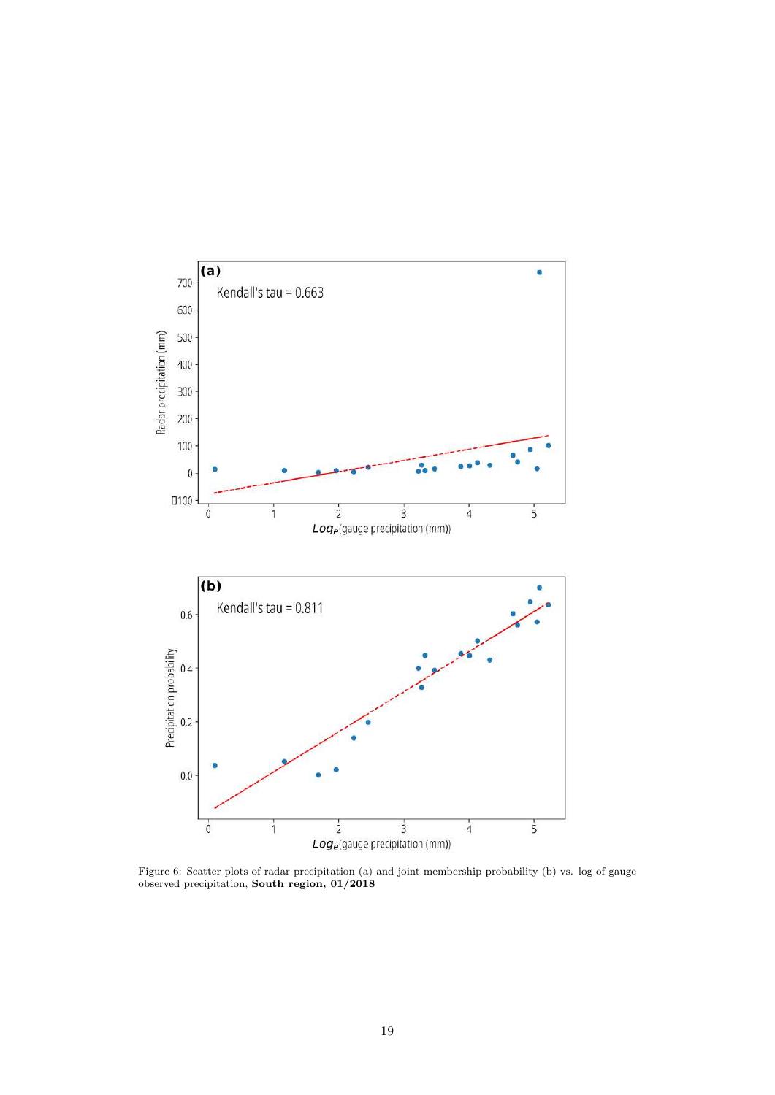

Figure 6: Scatter plots of radar precipitation (a) and joint membership probability (b) vs. log of gauge observed precipitation, South region, 01/2018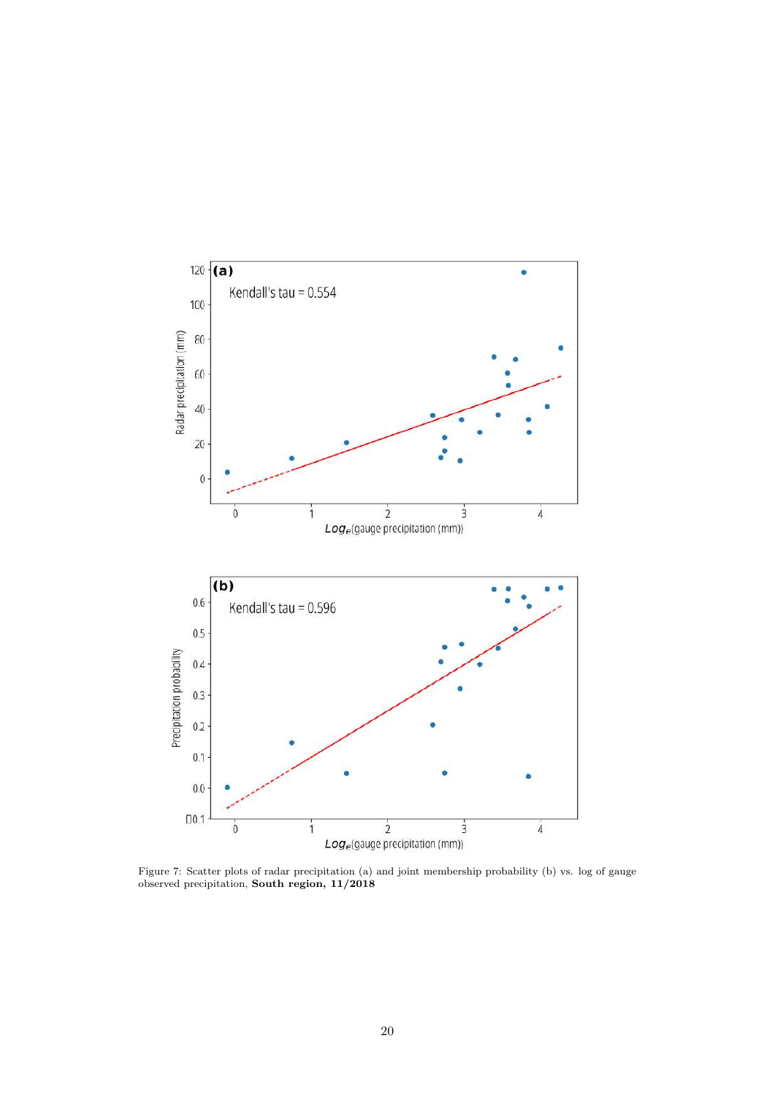

Figure 7: Scatter plots of radar precipitation (a) and joint membership probability (b) vs. log of gauge observed precipitation, South region, 11/2018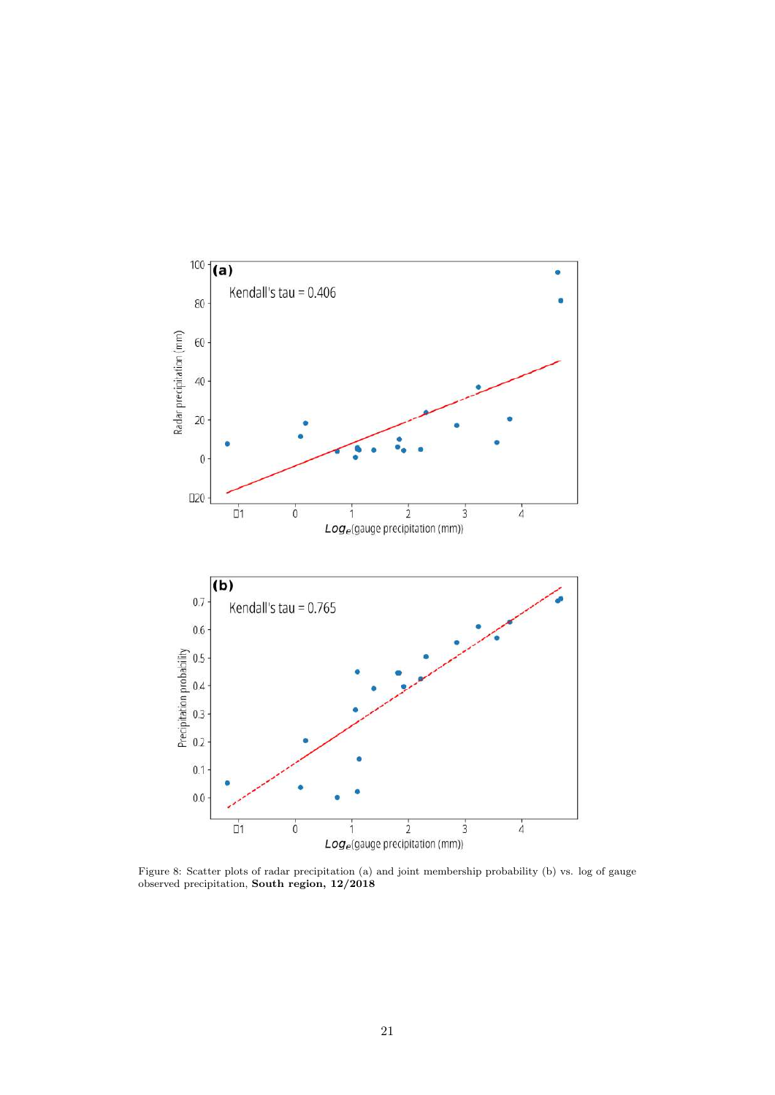<span id="page-21-0"></span>

Figure 8: Scatter plots of radar precipitation (a) and joint membership probability (b) vs. log of gauge observed precipitation, South region, 12/2018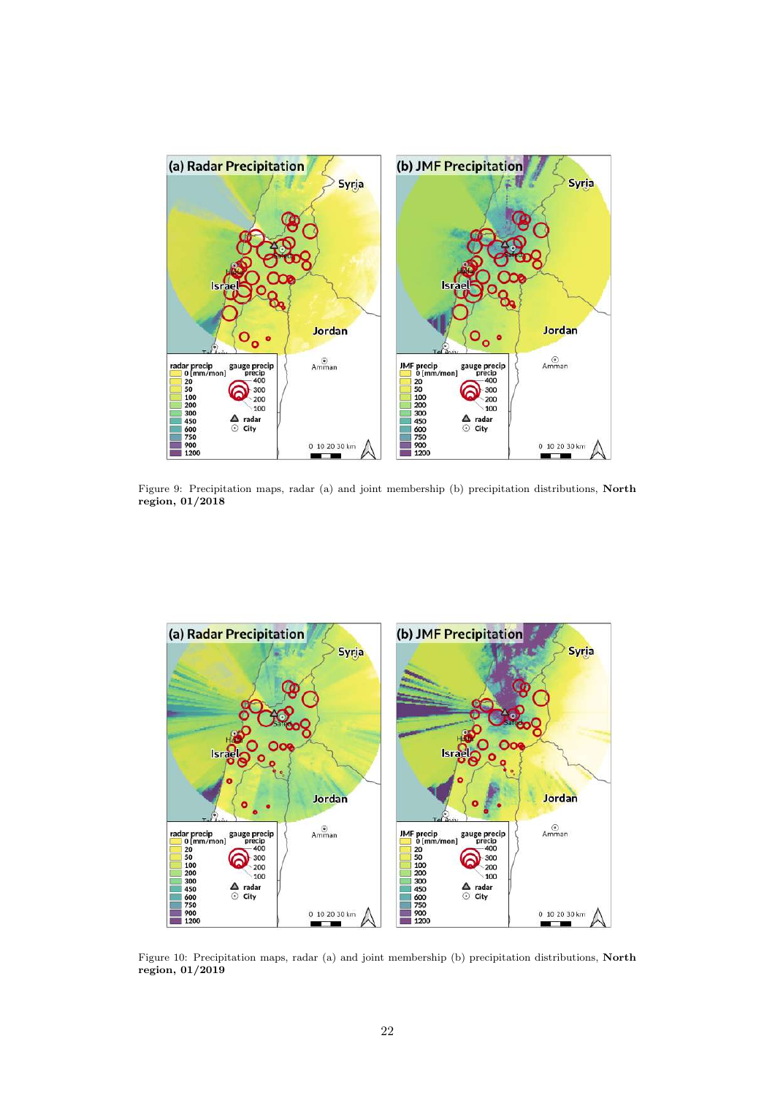<span id="page-22-0"></span>

Figure 9: Precipitation maps, radar (a) and joint membership (b) precipitation distributions, North region, 01/2018



Figure 10: Precipitation maps, radar (a) and joint membership (b) precipitation distributions, North region, 01/2019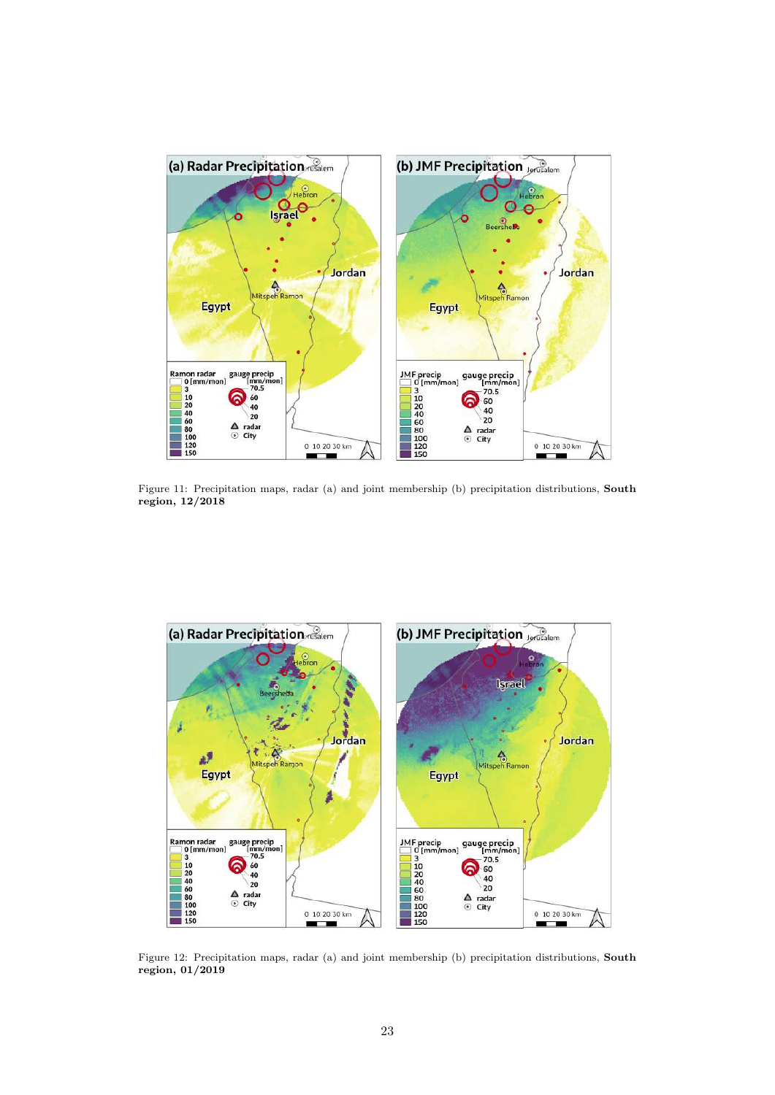

Figure 11: Precipitation maps, radar (a) and joint membership (b) precipitation distributions, South region, 12/2018

<span id="page-23-0"></span>

Figure 12: Precipitation maps, radar (a) and joint membership (b) precipitation distributions, South region, 01/2019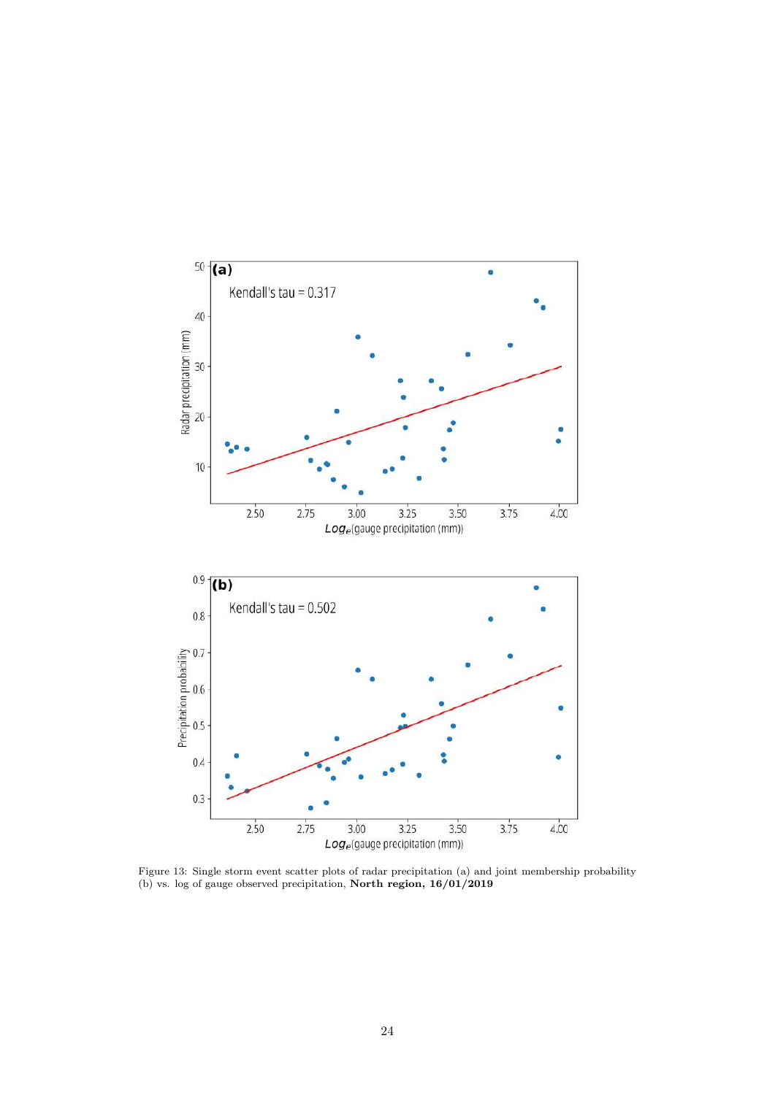<span id="page-24-0"></span>

Figure 13: Single storm event scatter plots of radar precipitation (a) and joint membership probability (b) vs. log of gauge observed precipitation, North region, 16/01/2019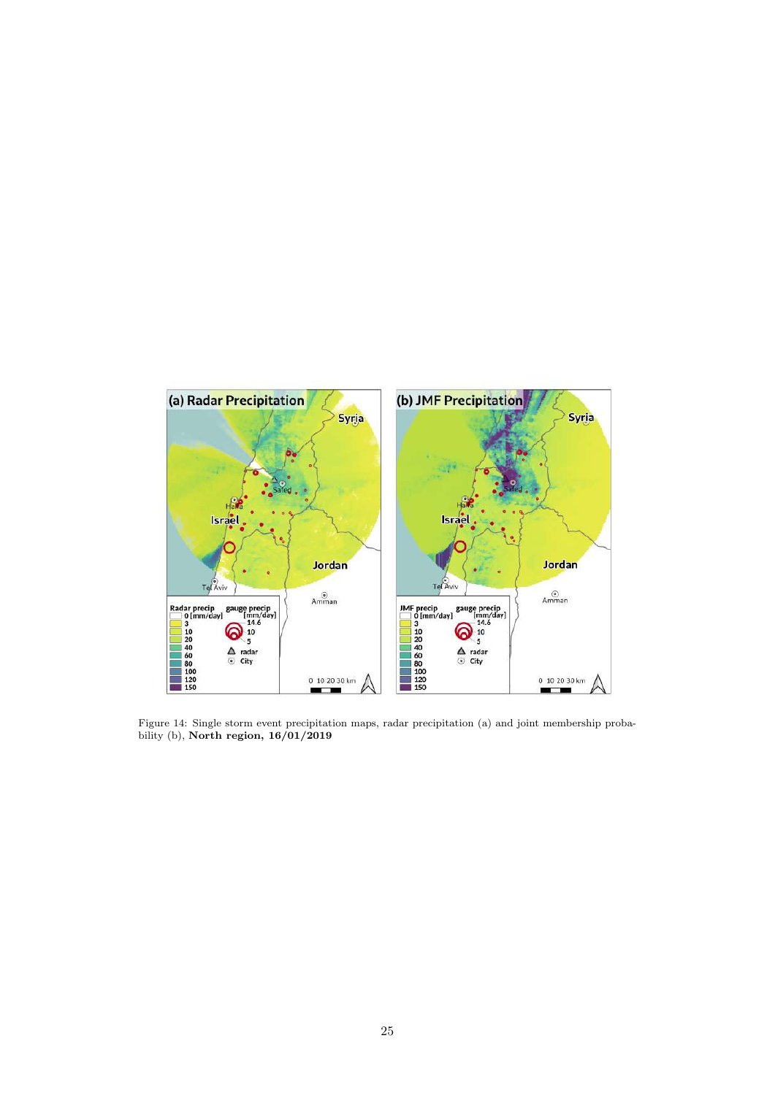<span id="page-25-0"></span>

Figure 14: Single storm event precipitation maps, radar precipitation (a) and joint membership probability (b), North region, 16/01/2019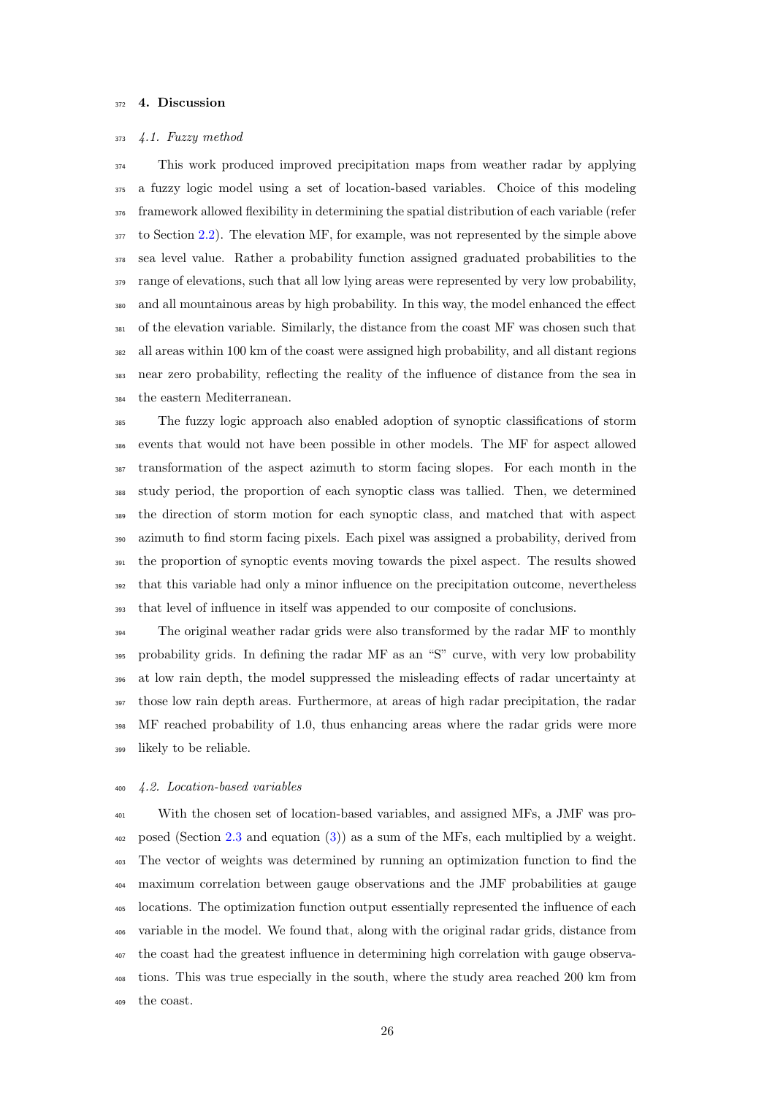# 372 4. Discussion

#### 4.1. Fuzzy method

 This work produced improved precipitation maps from weather radar by applying a fuzzy logic model using a set of location-based variables. Choice of this modeling framework allowed flexibility in determining the spatial distribution of each variable (refer to Section [2.2\)](#page-8-0). The elevation MF, for example, was not represented by the simple above sea level value. Rather a probability function assigned graduated probabilities to the range of elevations, such that all low lying areas were represented by very low probability, and all mountainous areas by high probability. In this way, the model enhanced the effect of the elevation variable. Similarly, the distance from the coast MF was chosen such that all areas within 100 km of the coast were assigned high probability, and all distant regions near zero probability, reflecting the reality of the influence of distance from the sea in the eastern Mediterranean.

 The fuzzy logic approach also enabled adoption of synoptic classifications of storm events that would not have been possible in other models. The MF for aspect allowed transformation of the aspect azimuth to storm facing slopes. For each month in the study period, the proportion of each synoptic class was tallied. Then, we determined the direction of storm motion for each synoptic class, and matched that with aspect azimuth to find storm facing pixels. Each pixel was assigned a probability, derived from the proportion of synoptic events moving towards the pixel aspect. The results showed that this variable had only a minor influence on the precipitation outcome, nevertheless that level of influence in itself was appended to our composite of conclusions.

 The original weather radar grids were also transformed by the radar MF to monthly probability grids. In defining the radar MF as an "S" curve, with very low probability at low rain depth, the model suppressed the misleading effects of radar uncertainty at those low rain depth areas. Furthermore, at areas of high radar precipitation, the radar MF reached probability of 1.0, thus enhancing areas where the radar grids were more likely to be reliable.

#### 4.2. Location-based variables

 With the chosen set of location-based variables, and assigned MFs, a JMF was pro- posed (Section [2.3](#page-12-1) and equation [\(3\)](#page-12-0)) as a sum of the MFs, each multiplied by a weight. The vector of weights was determined by running an optimization function to find the maximum correlation between gauge observations and the JMF probabilities at gauge locations. The optimization function output essentially represented the influence of each variable in the model. We found that, along with the original radar grids, distance from the coast had the greatest influence in determining high correlation with gauge observa- tions. This was true especially in the south, where the study area reached 200 km from the coast.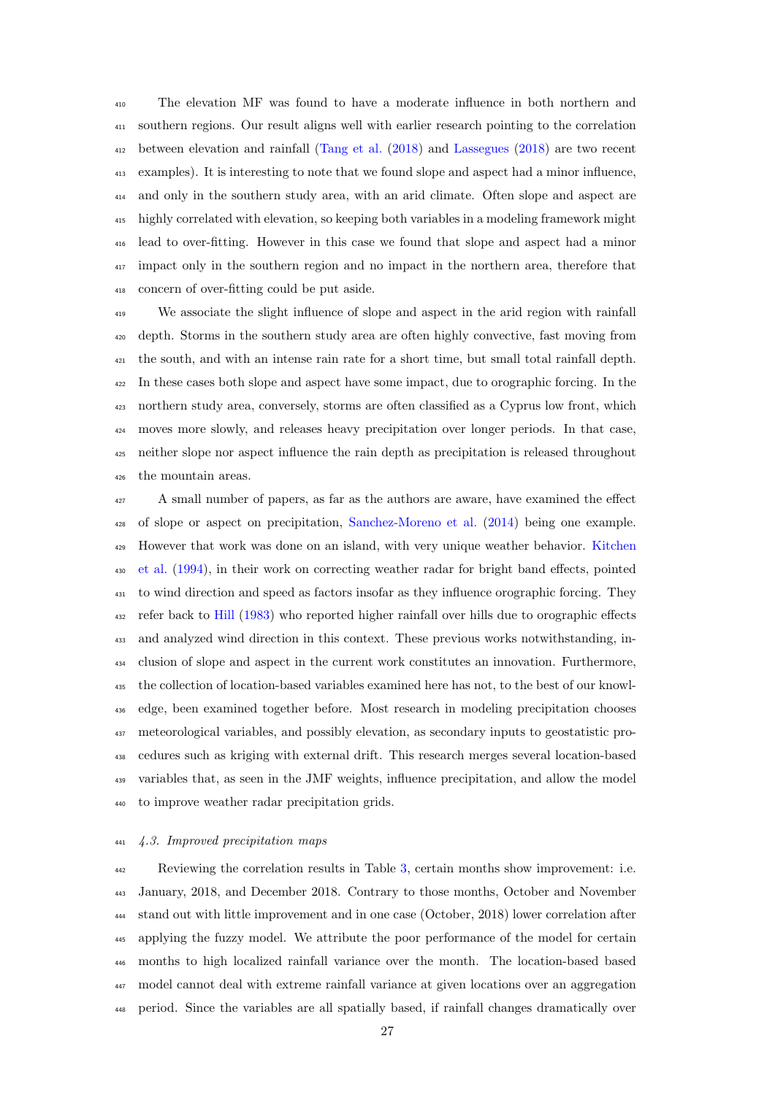The elevation MF was found to have a moderate influence in both northern and southern regions. Our result aligns well with earlier research pointing to the correlation between elevation and rainfall [\(Tang et al.](#page-35-12) [\(2018\)](#page-35-12) and [Lassegues](#page-33-7) [\(2018\)](#page-33-7) are two recent examples). It is interesting to note that we found slope and aspect had a minor influence, and only in the southern study area, with an arid climate. Often slope and aspect are highly correlated with elevation, so keeping both variables in a modeling framework might lead to over-fitting. However in this case we found that slope and aspect had a minor <sup>417</sup> impact only in the southern region and no impact in the northern area, therefore that concern of over-fitting could be put aside.

 We associate the slight influence of slope and aspect in the arid region with rainfall depth. Storms in the southern study area are often highly convective, fast moving from the south, and with an intense rain rate for a short time, but small total rainfall depth. In these cases both slope and aspect have some impact, due to orographic forcing. In the northern study area, conversely, storms are often classified as a Cyprus low front, which moves more slowly, and releases heavy precipitation over longer periods. In that case, neither slope nor aspect influence the rain depth as precipitation is released throughout the mountain areas.

 A small number of papers, as far as the authors are aware, have examined the effect of slope or aspect on precipitation, [Sanchez-Moreno et al.](#page-34-6) [\(2014\)](#page-34-6) being one example. [H](#page-33-14)owever that work was done on an island, with very unique weather behavior. [Kitchen](#page-33-14) [et al.](#page-33-14) [\(1994\)](#page-33-14), in their work on correcting weather radar for bright band effects, pointed <sup>431</sup> to wind direction and speed as factors insofar as they influence orographic forcing. They refer back to [Hill](#page-32-15) [\(1983\)](#page-32-15) who reported higher rainfall over hills due to orographic effects and analyzed wind direction in this context. These previous works notwithstanding, in- clusion of slope and aspect in the current work constitutes an innovation. Furthermore, the collection of location-based variables examined here has not, to the best of our knowl- edge, been examined together before. Most research in modeling precipitation chooses meteorological variables, and possibly elevation, as secondary inputs to geostatistic pro- cedures such as kriging with external drift. This research merges several location-based variables that, as seen in the JMF weights, influence precipitation, and allow the model to improve weather radar precipitation grids.

# 4.3. Improved precipitation maps

 Reviewing the correlation results in Table [3,](#page-17-0) certain months show improvement: i.e. January, 2018, and December 2018. Contrary to those months, October and November stand out with little improvement and in one case (October, 2018) lower correlation after applying the fuzzy model. We attribute the poor performance of the model for certain months to high localized rainfall variance over the month. The location-based based model cannot deal with extreme rainfall variance at given locations over an aggregation period. Since the variables are all spatially based, if rainfall changes dramatically over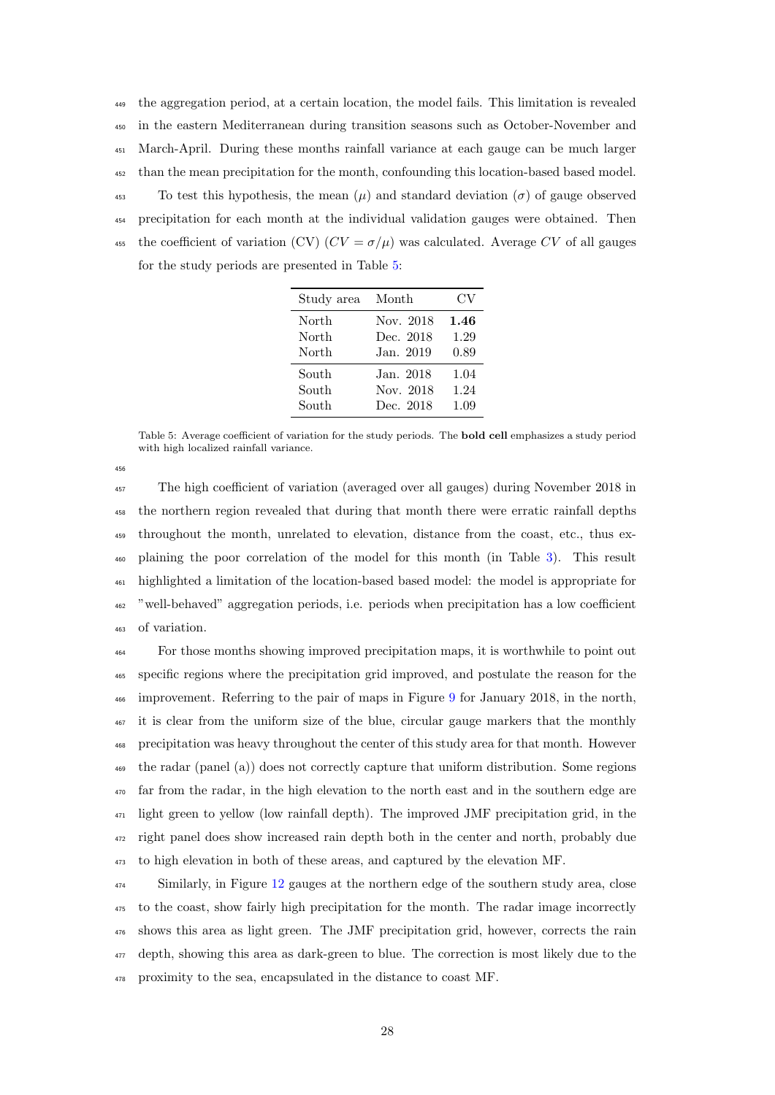the aggregation period, at a certain location, the model fails. This limitation is revealed in the eastern Mediterranean during transition seasons such as October-November and March-April. During these months rainfall variance at each gauge can be much larger than the mean precipitation for the month, confounding this location-based based model. <sup>453</sup> To test this hypothesis, the mean  $(\mu)$  and standard deviation  $(\sigma)$  of gauge observed precipitation for each month at the individual validation gauges were obtained. Then 455 the coefficient of variation (CV)  $(CV = \sigma/\mu)$  was calculated. Average CV of all gauges for the study periods are presented in Table [5:](#page-28-0)

| Study area | Month     | CV   |
|------------|-----------|------|
| North      | Nov. 2018 | 1.46 |
| North      | Dec. 2018 | 1.29 |
| North      | Jan. 2019 | 0.89 |
| South      | Jan. 2018 | 1.04 |
| South      | Nov. 2018 | 1.24 |
| South      | Dec. 2018 | 1.09 |

<span id="page-28-0"></span>Table 5: Average coefficient of variation for the study periods. The bold cell emphasizes a study period with high localized rainfall variance.

 The high coefficient of variation (averaged over all gauges) during November 2018 in the northern region revealed that during that month there were erratic rainfall depths throughout the month, unrelated to elevation, distance from the coast, etc., thus ex- plaining the poor correlation of the model for this month (in Table [3\)](#page-17-0). This result highlighted a limitation of the location-based based model: the model is appropriate for "well-behaved" aggregation periods, i.e. periods when precipitation has a low coefficient of variation.

 For those months showing improved precipitation maps, it is worthwhile to point out specific regions where the precipitation grid improved, and postulate the reason for the improvement. Referring to the pair of maps in Figure [9](#page-22-0) for January 2018, in the north, <sup>467</sup> it is clear from the uniform size of the blue, circular gauge markers that the monthly precipitation was heavy throughout the center of this study area for that month. However the radar (panel (a)) does not correctly capture that uniform distribution. Some regions far from the radar, in the high elevation to the north east and in the southern edge are light green to yellow (low rainfall depth). The improved JMF precipitation grid, in the right panel does show increased rain depth both in the center and north, probably due to high elevation in both of these areas, and captured by the elevation MF.

 Similarly, in Figure [12](#page-23-0) gauges at the northern edge of the southern study area, close to the coast, show fairly high precipitation for the month. The radar image incorrectly shows this area as light green. The JMF precipitation grid, however, corrects the rain depth, showing this area as dark-green to blue. The correction is most likely due to the proximity to the sea, encapsulated in the distance to coast MF.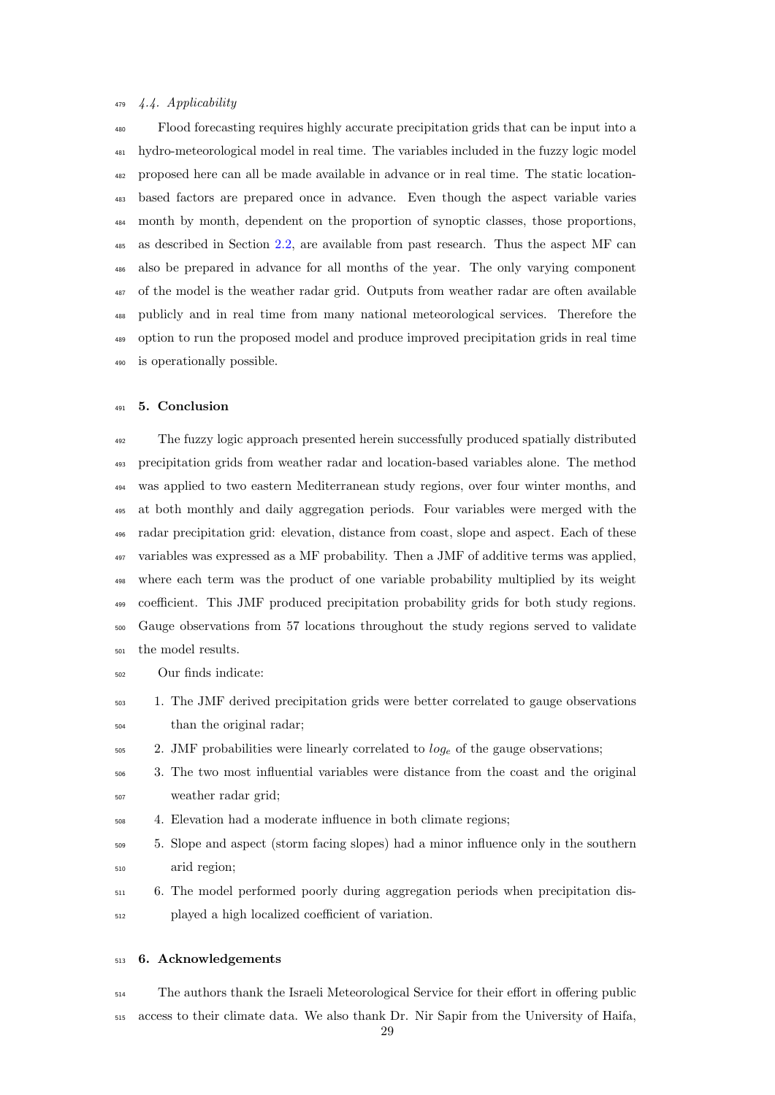# 4.4. Applicability

 Flood forecasting requires highly accurate precipitation grids that can be input into a hydro-meteorological model in real time. The variables included in the fuzzy logic model proposed here can all be made available in advance or in real time. The static location- based factors are prepared once in advance. Even though the aspect variable varies month by month, dependent on the proportion of synoptic classes, those proportions, as described in Section [2.2,](#page-8-0) are available from past research. Thus the aspect MF can also be prepared in advance for all months of the year. The only varying component of the model is the weather radar grid. Outputs from weather radar are often available publicly and in real time from many national meteorological services. Therefore the option to run the proposed model and produce improved precipitation grids in real time is operationally possible.

# 5. Conclusion

 The fuzzy logic approach presented herein successfully produced spatially distributed precipitation grids from weather radar and location-based variables alone. The method was applied to two eastern Mediterranean study regions, over four winter months, and at both monthly and daily aggregation periods. Four variables were merged with the radar precipitation grid: elevation, distance from coast, slope and aspect. Each of these variables was expressed as a MF probability. Then a JMF of additive terms was applied, where each term was the product of one variable probability multiplied by its weight coefficient. This JMF produced precipitation probability grids for both study regions. Gauge observations from 57 locations throughout the study regions served to validate the model results.

- Our finds indicate:
- 1. The JMF derived precipitation grids were better correlated to gauge observations than the original radar;
- 2. JMF probabilities were linearly correlated to  $log_e$  of the gauge observations;
- 3. The two most influential variables were distance from the coast and the original weather radar grid;
- 4. Elevation had a moderate influence in both climate regions;
- 5. Slope and aspect (storm facing slopes) had a minor influence only in the southern arid region;
- 6. The model performed poorly during aggregation periods when precipitation dis-played a high localized coefficient of variation.

#### 6. Acknowledgements

<sup>514</sup> The authors thank the Israeli Meteorological Service for their effort in offering public access to their climate data. We also thank Dr. Nir Sapir from the University of Haifa,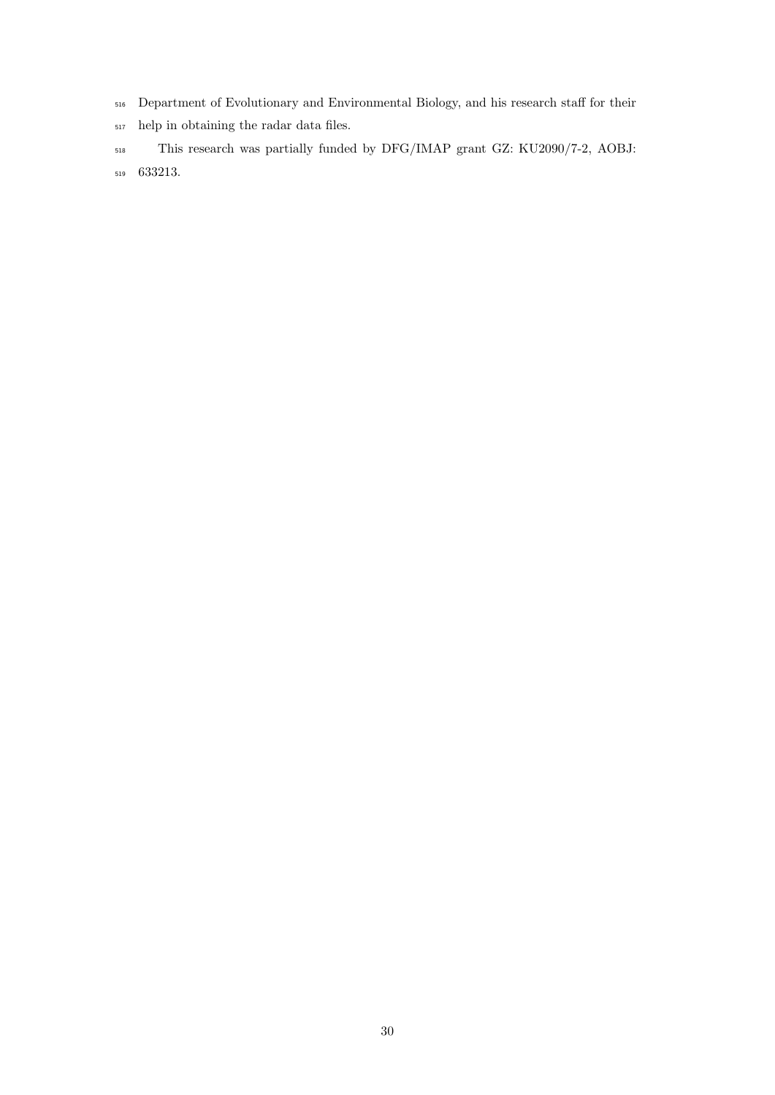- Department of Evolutionary and Environmental Biology, and his research staff for their
- help in obtaining the radar data files.
- This research was partially funded by DFG/IMAP grant GZ: KU2090/7-2, AOBJ: 633213.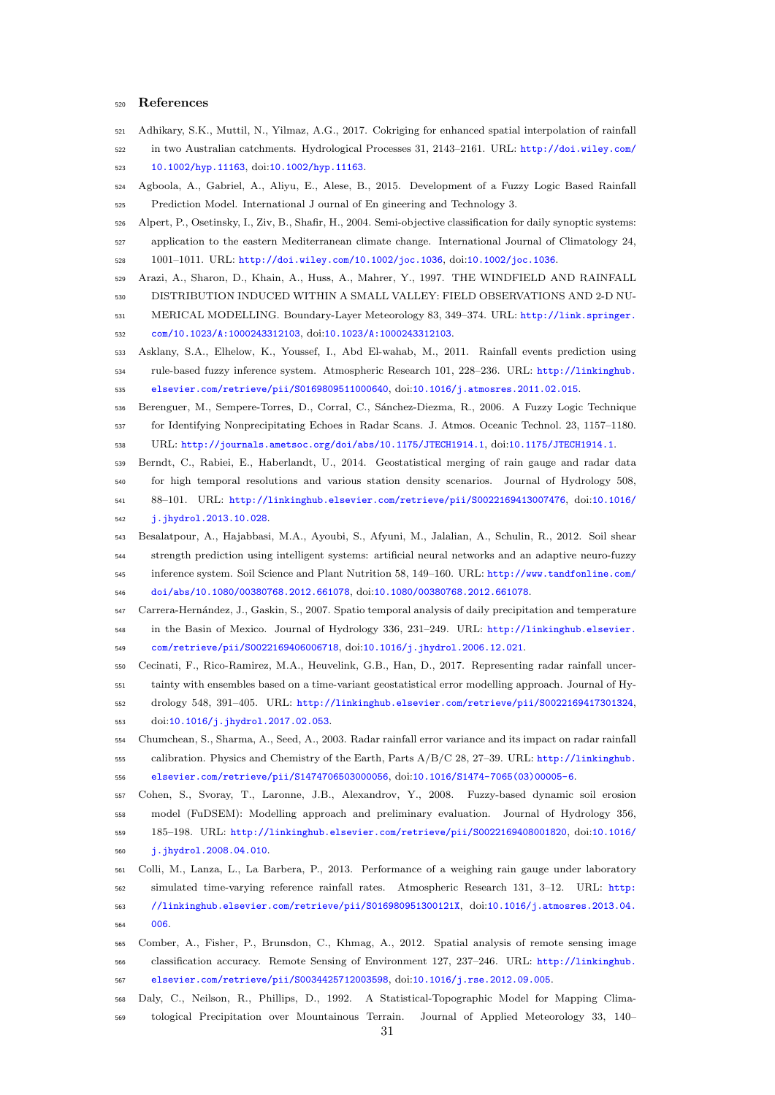# References

- <span id="page-31-3"></span>Adhikary, S.K., Muttil, N., Yilmaz, A.G., 2017. Cokriging for enhanced spatial interpolation of rainfall
- in two Australian catchments. Hydrological Processes 31, 2143–2161. URL: [http://doi.wiley.com/](http://doi.wiley.com/10.1002/hyp.11163) [10.1002/hyp.11163](http://doi.wiley.com/10.1002/hyp.11163), doi:[10.1002/hyp.11163](http://dx.doi.org/10.1002/hyp.11163).
- <span id="page-31-9"></span> Agboola, A., Gabriel, A., Aliyu, E., Alese, B., 2015. Development of a Fuzzy Logic Based Rainfall Prediction Model. International J ournal of En gineering and Technology 3.
- <span id="page-31-13"></span> Alpert, P., Osetinsky, I., Ziv, B., Shafir, H., 2004. Semi-objective classification for daily synoptic systems: application to the eastern Mediterranean climate change. International Journal of Climatology 24, 1001–1011. URL: <http://doi.wiley.com/10.1002/joc.1036>, doi:[10.1002/joc.1036](http://dx.doi.org/10.1002/joc.1036).
- <span id="page-31-12"></span>
- Arazi, A., Sharon, D., Khain, A., Huss, A., Mahrer, Y., 1997. THE WINDFIELD AND RAINFALL DISTRIBUTION INDUCED WITHIN A SMALL VALLEY: FIELD OBSERVATIONS AND 2-D NU-
- MERICAL MODELLING. Boundary-Layer Meteorology 83, 349–374. URL: [http://link.springer.](http://link.springer.com/10.1023/A:1000243312103) [com/10.1023/A:1000243312103](http://link.springer.com/10.1023/A:1000243312103), doi:[10.1023/A:1000243312103](http://dx.doi.org/10.1023/A:1000243312103).
- <span id="page-31-8"></span> Asklany, S.A., Elhelow, K., Youssef, I., Abd El-wahab, M., 2011. Rainfall events prediction using rule-based fuzzy inference system. Atmospheric Research 101, 228–236. URL: [http://linkinghub.](http://linkinghub.elsevier.com/retrieve/pii/ S0169809511000640) [elsevier.com/retrieve/pii/S0169809511000640](http://linkinghub.elsevier.com/retrieve/pii/ S0169809511000640), doi:[10.1016/j.atmosres.2011.02.015](http://dx.doi.org/10.1016/j.atmosres.2011.02.015).
- <span id="page-31-7"></span>Berenguer, M., Sempere-Torres, D., Corral, C., S´anchez-Diezma, R., 2006. A Fuzzy Logic Technique
- for Identifying Nonprecipitating Echoes in Radar Scans. J. Atmos. Oceanic Technol. 23, 1157–1180. URL: <http://journals.ametsoc.org/doi/abs/10.1175/JTECH1914.1>, doi:[10.1175/JTECH1914.1](http://dx.doi.org/10.1175/JTECH1914.1).
- <span id="page-31-2"></span> Berndt, C., Rabiei, E., Haberlandt, U., 2014. Geostatistical merging of rain gauge and radar data for high temporal resolutions and various station density scenarios. Journal of Hydrology 508, 88–101. URL: [http://linkinghub.elsevier.com/retrieve/pii/S0022169413007476](http://linkinghub.elsevier.com/retrieve/pii/ S0022169413007476), doi:[10.1016/](http://dx.doi.org/10.1016/j.jhydrol.2013.10.028)
- <span id="page-31-10"></span>[j.jhydrol.2013.10.028](http://dx.doi.org/10.1016/j.jhydrol.2013.10.028).
- Besalatpour, A., Hajabbasi, M.A., Ayoubi, S., Afyuni, M., Jalalian, A., Schulin, R., 2012. Soil shear strength prediction using intelligent systems: artificial neural networks and an adaptive neuro-fuzzy inference system. Soil Science and Plant Nutrition 58, 149–160. URL: [http://www.tandfonline.com/](http://www.tandfonline.com/doi/abs/10.1080/ 00380768.2012.661078)
- <span id="page-31-4"></span>[doi/abs/10.1080/00380768.2012.661078](http://www.tandfonline.com/doi/abs/10.1080/ 00380768.2012.661078), doi:[10.1080/00380768.2012.661078](http://dx.doi.org/10.1080/00380768.2012.661078).

 Carrera-Hern´andez, J., Gaskin, S., 2007. Spatio temporal analysis of daily precipitation and temperature in the Basin of Mexico. Journal of Hydrology 336, 231–249. URL: [http://linkinghub.elsevier.](http://linkinghub.elsevier.com/retrieve/pii/ S0022169406006718) [com/retrieve/pii/S0022169406006718](http://linkinghub.elsevier.com/retrieve/pii/ S0022169406006718), doi:[10.1016/j.jhydrol.2006.12.021](http://dx.doi.org/10.1016/j.jhydrol.2006.12.021).

- <span id="page-31-0"></span> Cecinati, F., Rico-Ramirez, M.A., Heuvelink, G.B., Han, D., 2017. Representing radar rainfall uncer- tainty with ensembles based on a time-variant geostatistical error modelling approach. Journal of Hy-drology 548, 391–405. URL: [http://linkinghub.elsevier.com/retrieve/pii/S0022169417301324](http://linkinghub.elsevier.com/retrieve/pii/ S0022169417301324),
- <span id="page-31-14"></span>doi:[10.1016/j.jhydrol.2017.02.053](http://dx.doi.org/10.1016/j.jhydrol.2017.02.053).
- Chumchean, S., Sharma, A., Seed, A., 2003. Radar rainfall error variance and its impact on radar rainfall calibration. Physics and Chemistry of the Earth, Parts A/B/C 28, 27–39. URL: [http://linkinghub.](http://linkinghub.elsevier.com/retrieve/pii/ S1474706503000056) [elsevier.com/retrieve/pii/S1474706503000056](http://linkinghub.elsevier.com/retrieve/pii/ S1474706503000056), doi:[10.1016/S1474-7065\(03\)00005-6](http://dx.doi.org/10.1016/S1474-7065(03)00005-6).
- <span id="page-31-5"></span> Cohen, S., Svoray, T., Laronne, J.B., Alexandrov, Y., 2008. Fuzzy-based dynamic soil erosion model (FuDSEM): Modelling approach and preliminary evaluation. Journal of Hydrology 356,
- 185–198. URL: [http://linkinghub.elsevier.com/retrieve/pii/S0022169408001820](http://linkinghub.elsevier.com/retrieve/pii/ S0022169408001820), doi:[10.1016/](http://dx.doi.org/10.1016/j.jhydrol.2008.04.010)
- [j.jhydrol.2008.04.010](http://dx.doi.org/10.1016/j.jhydrol.2008.04.010).
- <span id="page-31-1"></span> Colli, M., Lanza, L., La Barbera, P., 2013. Performance of a weighing rain gauge under laboratory simulated time-varying reference rainfall rates. Atmospheric Research 131, 3–12. URL: [http:](http://linkinghub.elsevier.com/retrieve/pii/ S016980951300121X) [//linkinghub.elsevier.com/retrieve/pii/S016980951300121X](http://linkinghub.elsevier.com/retrieve/pii/ S016980951300121X), doi:[10.1016/j.atmosres.2013.04.](http://dx.doi.org/10.1016/j.atmosres.2013.04.006) [006](http://dx.doi.org/10.1016/j.atmosres.2013.04.006).
- <span id="page-31-6"></span> Comber, A., Fisher, P., Brunsdon, C., Khmag, A., 2012. Spatial analysis of remote sensing image classification accuracy. Remote Sensing of Environment 127, 237–246. URL: [http://linkinghub.](http://linkinghub.elsevier.com/retrieve/pii/ S0034425712003598) [elsevier.com/retrieve/pii/S0034425712003598](http://linkinghub.elsevier.com/retrieve/pii/ S0034425712003598), doi:[10.1016/j.rse.2012.09.005](http://dx.doi.org/10.1016/j.rse.2012.09.005).
- <span id="page-31-11"></span>Daly, C., Neilson, R., Phillips, D., 1992. A Statistical-Topographic Model for Mapping Clima-
- tological Precipitation over Mountainous Terrain. Journal of Applied Meteorology 33, 140–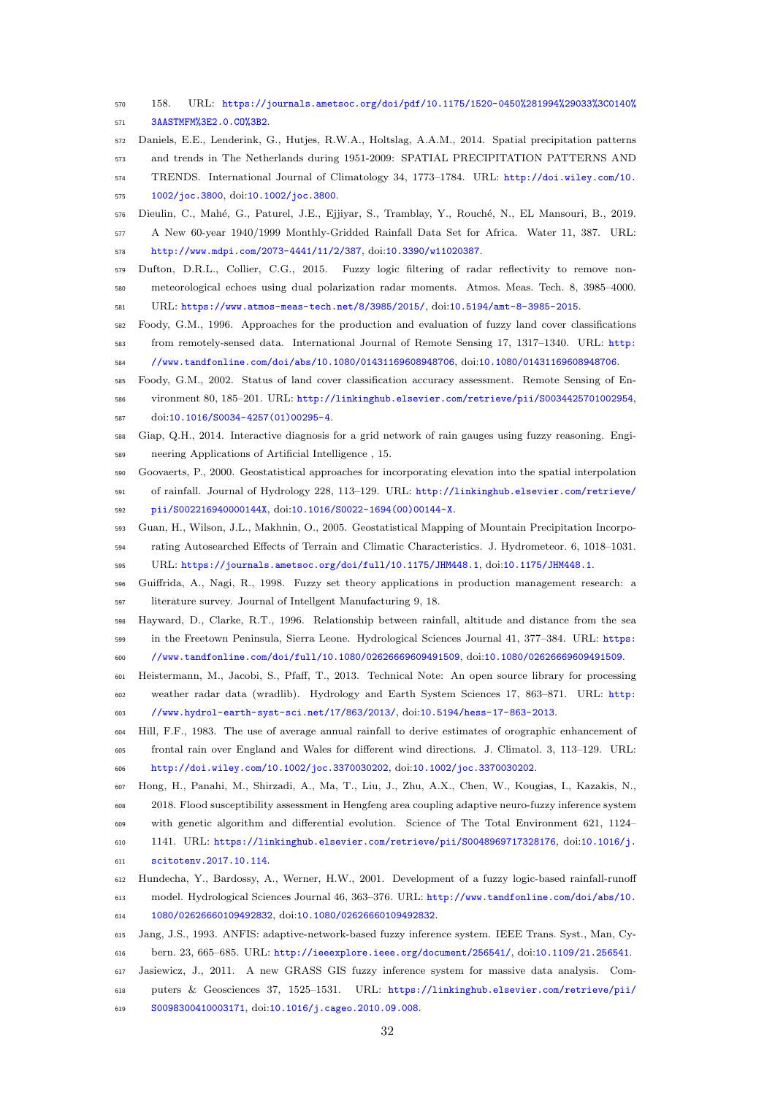- 158. URL: [https://journals.ametsoc.org/doi/pdf/10.1175/1520-0450%281994%29033%3C0140%](https://journals.ametsoc.org/doi/pdf/10.1175/1520- 0450%281994%29033%3C0140%3AASTMFM%3E2.0.CO%3B2) [3AASTMFM%3E2.0.CO%3B2](https://journals.ametsoc.org/doi/pdf/10.1175/1520- 0450%281994%29033%3C0140%3AASTMFM%3E2.0.CO%3B2).
- <span id="page-32-12"></span> Daniels, E.E., Lenderink, G., Hutjes, R.W.A., Holtslag, A.A.M., 2014. Spatial precipitation patterns and trends in The Netherlands during 1951-2009: SPATIAL PRECIPITATION PATTERNS AND TRENDS. International Journal of Climatology 34, 1773–1784. URL: [http://doi.wiley.com/10.](http://doi.wiley.com/10.1002/joc.3800)
- <span id="page-32-1"></span>[1002/joc.3800](http://doi.wiley.com/10.1002/joc.3800), doi:[10.1002/joc.3800](http://dx.doi.org/10.1002/joc.3800).
- 576 Dieulin, C., Mahé, G., Paturel, J.E., Ejjiyar, S., Tramblay, Y., Rouché, N., EL Mansouri, B., 2019. A New 60-year 1940/1999 Monthly-Gridded Rainfall Data Set for Africa. Water 11, 387. URL: <http://www.mdpi.com/2073-4441/11/2/387>, doi:[10.3390/w11020387](http://dx.doi.org/10.3390/w11020387).
- <span id="page-32-6"></span> Dufton, D.R.L., Collier, C.G., 2015. Fuzzy logic filtering of radar reflectivity to remove non- meteorological echoes using dual polarization radar moments. Atmos. Meas. Tech. 8, 3985–4000. URL: <https://www.atmos-meas-tech.net/8/3985/2015/>, doi:[10.5194/amt-8-3985-2015](http://dx.doi.org/10.5194/amt-8-3985-2015).
- <span id="page-32-3"></span> Foody, G.M., 1996. Approaches for the production and evaluation of fuzzy land cover classifications from remotely-sensed data. International Journal of Remote Sensing 17, 1317–1340. URL: [http:](http://www.tandfonline.com/doi/abs/10.1080/ 01431169608948706) [//www.tandfonline.com/doi/abs/10.1080/01431169608948706](http://www.tandfonline.com/doi/abs/10.1080/ 01431169608948706), doi:[10.1080/01431169608948706](http://dx.doi.org/10.1080/01431169608948706).
- <span id="page-32-4"></span>
- Foody, G.M., 2002. Status of land cover classification accuracy assessment. Remote Sensing of En- vironment 80, 185–201. URL: [http://linkinghub.elsevier.com/retrieve/pii/S0034425701002954](http://linkinghub.elsevier.com/retrieve/pii/ S0034425701002954), doi:[10.1016/S0034-4257\(01\)00295-4](http://dx.doi.org/10.1016/S0034-4257(01)00295-4).
- <span id="page-32-7"></span>Giap, Q.H., 2014. Interactive diagnosis for a grid network of rain gauges using fuzzy reasoning. Engi-
- <span id="page-32-0"></span>neering Applications of Artificial Intelligence , 15.
- Goovaerts, P., 2000. Geostatistical approaches for incorporating elevation into the spatial interpolation
- of rainfall. Journal of Hydrology 228, 113–129. URL: [http://linkinghub.elsevier.com/retrieve/](http://linkinghub.elsevier.com/retrieve/pii/ S002216940000144X) [pii/S002216940000144X](http://linkinghub.elsevier.com/retrieve/pii/ S002216940000144X), doi:[10.1016/S0022-1694\(00\)00144-X](http://dx.doi.org/10.1016/S0022-1694(00)00144-X).
- <span id="page-32-10"></span> Guan, H., Wilson, J.L., Makhnin, O., 2005. Geostatistical Mapping of Mountain Precipitation Incorpo-rating Autosearched Effects of Terrain and Climatic Characteristics. J. Hydrometeor. 6, 1018–1031.
- <span id="page-32-2"></span>URL: <https://journals.ametsoc.org/doi/full/10.1175/JHM448.1>, doi:[10.1175/JHM448.1](http://dx.doi.org/10.1175/JHM448.1).
- Guiffrida, A., Nagi, R., 1998. Fuzzy set theory applications in production management research: a literature survey. Journal of Intellgent Manufacturing 9, 18.
- <span id="page-32-11"></span> Hayward, D., Clarke, R.T., 1996. Relationship between rainfall, altitude and distance from the sea in the Freetown Peninsula, Sierra Leone. Hydrological Sciences Journal 41, 377–384. URL: [https:](https://www.tandfonline.com/doi/full/10.1080/ 02626669609491509) [//www.tandfonline.com/doi/full/10.1080/02626669609491509](https://www.tandfonline.com/doi/full/10.1080/ 02626669609491509), doi:[10.1080/02626669609491509](http://dx.doi.org/10.1080/02626669609491509).
- <span id="page-32-13"></span> Heistermann, M., Jacobi, S., Pfaff, T., 2013. Technical Note: An open source library for processing weather radar data (wradlib). Hydrology and Earth System Sciences 17, 863–871. URL: [http:](http://www.hydrol-earth-syst-sci.net/17/863/2013/) [//www.hydrol-earth-syst-sci.net/17/863/2013/](http://www.hydrol-earth-syst-sci.net/17/863/2013/), doi:[10.5194/hess-17-863-2013](http://dx.doi.org/10.5194/hess-17-863-2013).
- <span id="page-32-15"></span> Hill, F.F., 1983. The use of average annual rainfall to derive estimates of orographic enhancement of frontal rain over England and Wales for different wind directions. J. Climatol. 3, 113–129. URL: <http://doi.wiley.com/10.1002/joc.3370030202>, doi:[10.1002/joc.3370030202](http://dx.doi.org/10.1002/joc.3370030202).
- <span id="page-32-9"></span>Hong, H., Panahi, M., Shirzadi, A., Ma, T., Liu, J., Zhu, A.X., Chen, W., Kougias, I., Kazakis, N.,
- 2018. Flood susceptibility assessment in Hengfeng area coupling adaptive neuro-fuzzy inference system
- with genetic algorithm and differential evolution. Science of The Total Environment 621, 1124–
- 1141. URL: [https://linkinghub.elsevier.com/retrieve/pii/S0048969717328176](https://linkinghub.elsevier.com/retrieve/pii/ S0048969717328176), doi:[10.1016/j.](http://dx.doi.org/10.1016/j.scitotenv.2017.10.114)
- <span id="page-32-5"></span>[scitotenv.2017.10.114](http://dx.doi.org/10.1016/j.scitotenv.2017.10.114).
- Hundecha, Y., Bardossy, A., Werner, H.W., 2001. Development of a fuzzy logic-based rainfall-runoff model. Hydrological Sciences Journal 46, 363–376. URL: [http://www.tandfonline.com/doi/abs/10.](http://www.tandfonline.com/doi/abs/10.1080/ 02626660109492832) [1080/02626660109492832](http://www.tandfonline.com/doi/abs/10.1080/ 02626660109492832), doi:[10.1080/02626660109492832](http://dx.doi.org/10.1080/02626660109492832).
- <span id="page-32-8"></span> Jang, J.S., 1993. ANFIS: adaptive-network-based fuzzy inference system. IEEE Trans. Syst., Man, Cy-bern. 23, 665–685. URL: <http://ieeexplore.ieee.org/document/256541/>, doi:[10.1109/21.256541](http://dx.doi.org/10.1109/21.256541).
- <span id="page-32-14"></span>Jasiewicz, J., 2011. A new GRASS GIS fuzzy inference system for massive data analysis. Com-
- puters & Geosciences 37, 1525–1531. URL: [https://linkinghub.elsevier.com/retrieve/pii/](https://linkinghub.elsevier.com/retrieve/pii/ S0098300410003171)
- [S0098300410003171](https://linkinghub.elsevier.com/retrieve/pii/ S0098300410003171), doi:[10.1016/j.cageo.2010.09.008](http://dx.doi.org/10.1016/j.cageo.2010.09.008).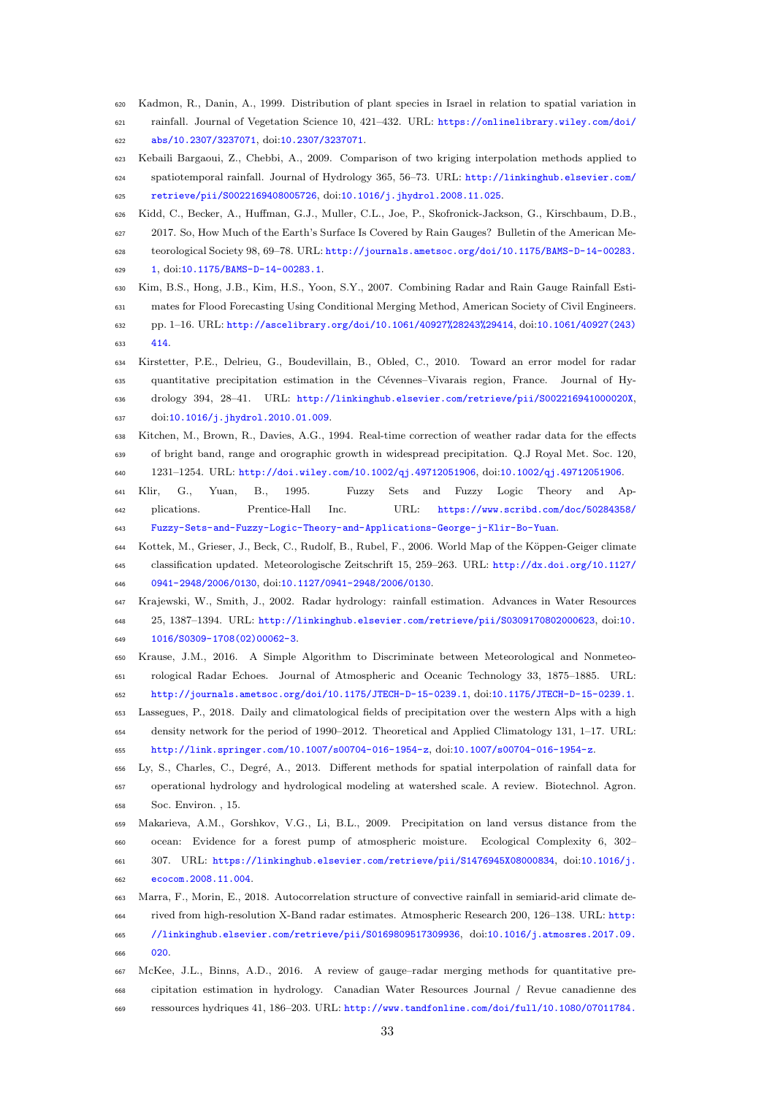<span id="page-33-14"></span><span id="page-33-13"></span><span id="page-33-12"></span><span id="page-33-10"></span><span id="page-33-5"></span><span id="page-33-4"></span><span id="page-33-2"></span>

| 622        | abs/10.2307/3237071, doi.10.2307/3237071.                                                                                                                                                    |
|------------|----------------------------------------------------------------------------------------------------------------------------------------------------------------------------------------------|
| 623        | Kebaili Bargaoui, Z., Chebbi, A., 2009. Comparison of two kriging interpolation methods applied to                                                                                           |
| 624        | spatiotemporal rainfall. Journal of Hydrology 365, 56-73. URL: http://linkinghub.elsevier.com/                                                                                               |
| 625        | retrieve/pii/S0022169408005726, doi:10.1016/j.jhydrol.2008.11.025.                                                                                                                           |
| 626        | Kidd, C., Becker, A., Huffman, G.J., Muller, C.L., Joe, P., Skofronick-Jackson, G., Kirschbaum, D.B.,                                                                                        |
| 627        | 2017. So, How Much of the Earth's Surface Is Covered by Rain Gauges? Bulletin of the American Me-                                                                                            |
| 628        | teorological Society 98, 69–78. URL: http://journals.ametsoc.org/doi/10.1175/BAMS-D-14-00283.                                                                                                |
| 629        | $1, \text{doi:10.1175/BAMS-D-14-00283.1}.$                                                                                                                                                   |
| 630        | Kim, B.S., Hong, J.B., Kim, H.S., Yoon, S.Y., 2007. Combining Radar and Rain Gauge Rainfall Esti-                                                                                            |
| 631        | mates for Flood Forecasting Using Conditional Merging Method, American Society of Civil Engineers.                                                                                           |
| 632        | pp. 1-16. URL: http://ascelibrary.org/doi/10.1061/40927%28243%29414, doi:10.1061/40927(243)                                                                                                  |
| 633        | 414.                                                                                                                                                                                         |
| 634        | Kirstetter, P.E., Delrieu, G., Boudevillain, B., Obled, C., 2010. Toward an error model for radar                                                                                            |
| 635        | quantitative precipitation estimation in the Cévennes–Vivarais region, France. Journal of Hy-                                                                                                |
| 636        | drology 394, 28-41. URL: http://linkinghub.elsevier.com/retrieve/pii/S002216941000020X,                                                                                                      |
| 637        | doi:10.1016/j.jhydrol.2010.01.009.                                                                                                                                                           |
| 638        | Kitchen, M., Brown, R., Davies, A.G., 1994. Real-time correction of weather radar data for the effects                                                                                       |
| 639        | of bright band, range and orographic growth in widespread precipitation. Q.J Royal Met. Soc. 120,                                                                                            |
| 640        | 1231–1254. URL: http://doi.wiley.com/10.1002/qj.49712051906, doi:10.1002/qj.49712051906.                                                                                                     |
| 641        | Yuan,<br>B.,<br>1995.<br>Fuzzy<br>Sets<br>and<br>Fuzzy<br>Logic<br>Theory<br>Klir,<br>G.,<br>and<br>$Ap-$                                                                                    |
| 642        | URL:<br>Prentice-Hall<br>Inc.<br>https://www.scribd.com/doc/50284358/<br>plications.                                                                                                         |
| 643        | Fuzzy-Sets-and-Fuzzy-Logic-Theory-and-Applications-George-j-Klir-Bo-Yuan.                                                                                                                    |
| 644        | Kottek, M., Grieser, J., Beck, C., Rudolf, B., Rubel, F., 2006. World Map of the Köppen-Geiger climate                                                                                       |
| 645        | classification updated. Meteorologische Zeitschrift 15, 259–263. URL: http://dx.doi.org/10.1127/                                                                                             |
| 646        | 0941-2948/2006/0130, doi:10.1127/0941-2948/2006/0130.                                                                                                                                        |
| 647        | Krajewski, W., Smith, J., 2002. Radar hydrology: rainfall estimation. Advances in Water Resources                                                                                            |
| 648        | 25, 1387-1394. URL: http://linkinghub.elsevier.com/retrieve/pii/S0309170802000623, doi:10.                                                                                                   |
| 649        | 1016/S0309-1708(02)00062-3.                                                                                                                                                                  |
| 650        | Krause, J.M., 2016. A Simple Algorithm to Discriminate between Meteorological and Nonmeteo-                                                                                                  |
| 651        | rological Radar Echoes. Journal of Atmospheric and Oceanic Technology 33, 1875–1885. URL:                                                                                                    |
| 652        | http://journals.ametsoc.org/doi/10.1175/JTECH-D-15-0239.1, doi:10.1175/JTECH-D-15-0239.1.                                                                                                    |
| 653        | Lassegues, P., 2018. Daily and climatological fields of precipitation over the western Alps with a high                                                                                      |
| 654        | density network for the period of 1990–2012. Theoretical and Applied Climatology 131, 1–17. URL:                                                                                             |
| 655        | http://link.springer.com/10.1007/s00704-016-1954-z, doi:10.1007/s00704-016-1954-z.<br>Ly, S., Charles, C., Degré, A., 2013. Different methods for spatial interpolation of rainfall data for |
| 656        | operational hydrology and hydrological modeling at watershed scale. A review. Biotechnol. Agron.                                                                                             |
| 657        | Soc. Environ., 15.                                                                                                                                                                           |
| 658        | Makarieva, A.M., Gorshkov, V.G., Li, B.L., 2009. Precipitation on land versus distance from the                                                                                              |
| 659        | Evidence for a forest pump of atmospheric moisture.<br>Ecological Complexity $6, 302-$<br>ocean:                                                                                             |
| 660        | 307. URL: https://linkinghub.elsevier.com/retrieve/pii/S1476945X08000834, doi:10.1016/j.                                                                                                     |
| 661<br>662 | ecocom.2008.11.004.                                                                                                                                                                          |
| 663        | Marra, F., Morin, E., 2018. Autocorrelation structure of convective rainfall in semiarid-arid climate de-                                                                                    |
| 664        | rived from high-resolution X-Band radar estimates. Atmospheric Research 200, 126–138. URL: http:                                                                                             |
| 665        | //linkinghub.elsevier.com/retrieve/pii/S0169809517309936, doi:10.1016/j.atmosres.2017.09.                                                                                                    |
| 666        | 020.                                                                                                                                                                                         |
|            |                                                                                                                                                                                              |

<span id="page-33-9"></span> Kadmon, R., Danin, A., 1999. Distribution of plant species in Israel in relation to spatial variation in rainfall. Journal of Vegetation Science 10, 421–432. URL: [https://onlinelibrary.wiley.com/doi/](https://onlinelibrary.wiley.com/doi/abs/10.2307/3237071)

<span id="page-33-11"></span><span id="page-33-8"></span><span id="page-33-7"></span><span id="page-33-6"></span><span id="page-33-3"></span><span id="page-33-1"></span><span id="page-33-0"></span> McKee, J.L., Binns, A.D., 2016. A review of gauge–radar merging methods for quantitative pre- cipitation estimation in hydrology. Canadian Water Resources Journal / Revue canadienne des ressources hydriques 41, 186–203. URL: [http://www.tandfonline.com/doi/full/10.1080/07011784.](http://www.tandfonline.com/doi/full/10.1080/ 07011784.2015.1064786)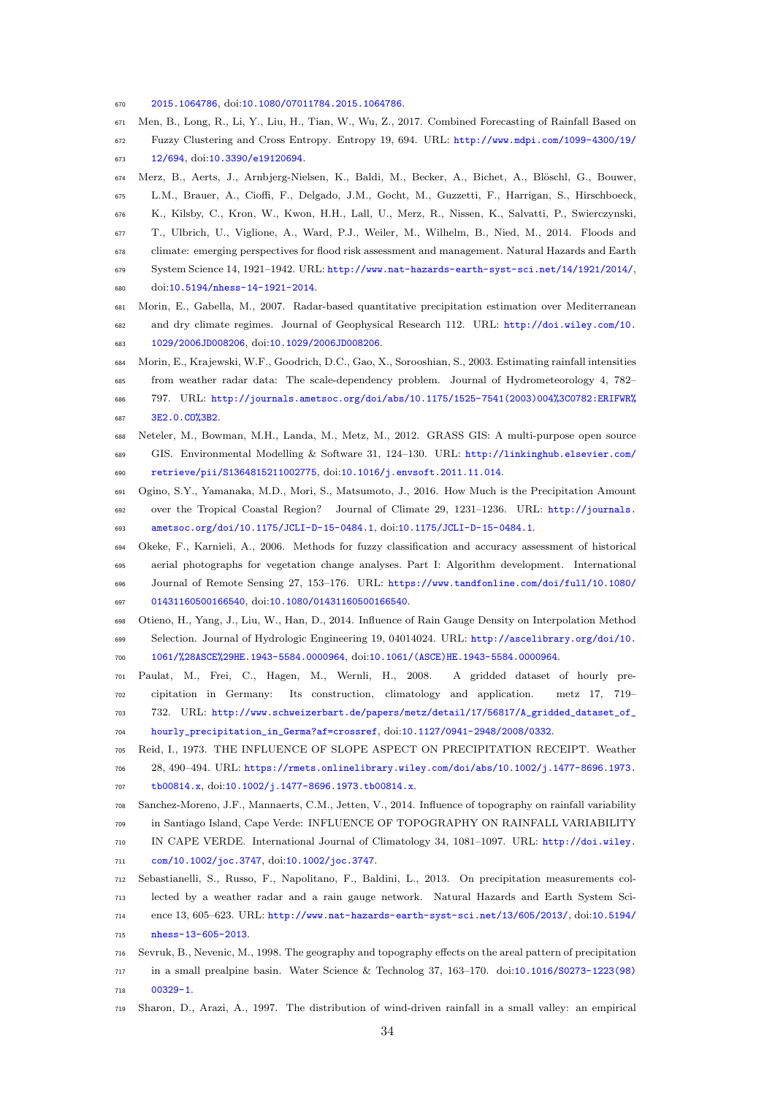[2015.1064786](http://www.tandfonline.com/doi/full/10.1080/ 07011784.2015.1064786), doi:[10.1080/07011784.2015.1064786](http://dx.doi.org/10.1080/07011784.2015.1064786).

- <span id="page-34-5"></span> Men, B., Long, R., Li, Y., Liu, H., Tian, W., Wu, Z., 2017. Combined Forecasting of Rainfall Based on Fuzzy Clustering and Cross Entropy. Entropy 19, 694. URL: [http://www.mdpi.com/1099-4300/19/](http://www.mdpi.com/1099-4300/19/12/694) [12/694](http://www.mdpi.com/1099-4300/19/12/694), doi:[10.3390/e19120694](http://dx.doi.org/10.3390/e19120694).
- <span id="page-34-0"></span>

674 Merz, B., Aerts, J., Arnbjerg-Nielsen, K., Baldi, M., Becker, A., Bichet, A., Blöschl, G., Bouwer, L.M., Brauer, A., Cioffi, F., Delgado, J.M., Gocht, M., Guzzetti, F., Harrigan, S., Hirschboeck, K., Kilsby, C., Kron, W., Kwon, H.H., Lall, U., Merz, R., Nissen, K., Salvatti, P., Swierczynski,

T., Ulbrich, U., Viglione, A., Ward, P.J., Weiler, M., Wilhelm, B., Nied, M., 2014. Floods and

- climate: emerging perspectives for flood risk assessment and management. Natural Hazards and Earth
- System Science 14, 1921–1942. URL: <http://www.nat-hazards-earth-syst-sci.net/14/1921/2014/>, doi:[10.5194/nhess-14-1921-2014](http://dx.doi.org/10.5194/nhess-14-1921-2014).
- <span id="page-34-13"></span> Morin, E., Gabella, M., 2007. Radar-based quantitative precipitation estimation over Mediterranean and dry climate regimes. Journal of Geophysical Research 112. URL: [http://doi.wiley.com/10.](http://doi.wiley.com/10.1029/2006JD008206) [1029/2006JD008206](http://doi.wiley.com/10.1029/2006JD008206), doi:[10.1029/2006JD008206](http://dx.doi.org/10.1029/2006JD008206).
- <span id="page-34-1"></span> Morin, E., Krajewski, W.F., Goodrich, D.C., Gao, X., Sorooshian, S., 2003. Estimating rainfall intensities from weather radar data: The scale-dependency problem. Journal of Hydrometeorology 4, 782–
- 797. URL: [http://journals.ametsoc.org/doi/abs/10.1175/1525-7541\(2003\)004%3C0782:ERIFWR%](http://journals.ametsoc.org/doi/abs/10.1175/1525- 7541(2003)004%3C0782:ERIFWR%3E2.0.CO%3B2)
- <span id="page-34-12"></span>[3E2.0.CO%3B2](http://journals.ametsoc.org/doi/abs/10.1175/1525- 7541(2003)004%3C0782:ERIFWR%3E2.0.CO%3B2).
- Neteler, M., Bowman, M.H., Landa, M., Metz, M., 2012. GRASS GIS: A multi-purpose open source GIS. Environmental Modelling & Software 31, 124–130. URL: [http://linkinghub.elsevier.com/](http://linkinghub.elsevier.com/retrieve/pii/ S1364815211002775) [retrieve/pii/S1364815211002775](http://linkinghub.elsevier.com/retrieve/pii/ S1364815211002775), doi:[10.1016/j.envsoft.2011.11.014](http://dx.doi.org/10.1016/j.envsoft.2011.11.014).
- <span id="page-34-7"></span> Ogino, S.Y., Yamanaka, M.D., Mori, S., Matsumoto, J., 2016. How Much is the Precipitation Amount over the Tropical Coastal Region? Journal of Climate 29, 1231–1236. URL: [http://journals.](http://journals.ametsoc.org/doi/10.1175/JCLI-D-15-0484.1) [ametsoc.org/doi/10.1175/JCLI-D-15-0484.1](http://journals.ametsoc.org/doi/10.1175/JCLI-D-15-0484.1), doi:[10.1175/JCLI-D-15-0484.1](http://dx.doi.org/10.1175/JCLI-D-15-0484.1).
- <span id="page-34-4"></span> Okeke, F., Karnieli, A., 2006. Methods for fuzzy classification and accuracy assessment of historical aerial photographs for vegetation change analyses. Part I: Algorithm development. International Journal of Remote Sensing 27, 153–176. URL: [https://www.tandfonline.com/doi/full/10.1080/](https://www.tandfonline.com/doi/full/10.1080/ 01431160500166540) [01431160500166540](https://www.tandfonline.com/doi/full/10.1080/ 01431160500166540), doi:[10.1080/01431160500166540](http://dx.doi.org/10.1080/01431160500166540).
- <span id="page-34-2"></span> Otieno, H., Yang, J., Liu, W., Han, D., 2014. Influence of Rain Gauge Density on Interpolation Method Selection. Journal of Hydrologic Engineering 19, 04014024. URL: [http://ascelibrary.org/doi/10.](http://ascelibrary.org/doi/10.1061/%28ASCE%29HE.1943- 5584.0000964) [1061/%28ASCE%29HE.1943-5584.0000964](http://ascelibrary.org/doi/10.1061/%28ASCE%29HE.1943- 5584.0000964), doi:[10.1061/\(ASCE\)HE.1943-5584.0000964](http://dx.doi.org/10.1061/(ASCE)HE.1943-5584.0000964).
- <span id="page-34-3"></span> Paulat, M., Frei, C., Hagen, M., Wernli, H., 2008. A gridded dataset of hourly pre- cipitation in Germany: Its construction, climatology and application. metz 17, 719– 732. URL: [http://www.schweizerbart.de/papers/metz/detail/17/56817/A\\_gridded\\_dataset\\_of\\_](http://www.schweizerbart.de/papers/metz/detail/17/56817/ A_gridded_dataset_of_hourly_precipitation_in_Germa? af=crossref)
- [hourly\\_precipitation\\_in\\_Germa?af=crossref](http://www.schweizerbart.de/papers/metz/detail/17/56817/ A_gridded_dataset_of_hourly_precipitation_in_Germa? af=crossref), doi:[10.1127/0941-2948/2008/0332](http://dx.doi.org/10.1127/0941-2948/2008/0332).
- <span id="page-34-9"></span>Reid, I., 1973. THE INFLUENCE OF SLOPE ASPECT ON PRECIPITATION RECEIPT. Weather
- 28, 490–494. URL: [https://rmets.onlinelibrary.wiley.com/doi/abs/10.1002/j.1477-8696.1973.](https://rmets.onlinelibrary.wiley.com/doi/abs/10.1002/ j.1477-8696.1973.tb00814.x) [tb00814.x](https://rmets.onlinelibrary.wiley.com/doi/abs/10.1002/ j.1477-8696.1973.tb00814.x), doi:[10.1002/j.1477-8696.1973.tb00814.x](http://dx.doi.org/10.1002/j.1477-8696.1973.tb00814.x).
- <span id="page-34-6"></span> Sanchez-Moreno, J.F., Mannaerts, C.M., Jetten, V., 2014. Influence of topography on rainfall variability in Santiago Island, Cape Verde: INFLUENCE OF TOPOGRAPHY ON RAINFALL VARIABILITY
- IN CAPE VERDE. International Journal of Climatology 34, 1081–1097. URL: [http://doi.wiley.](http://doi.wiley.com/10.1002/joc.3747) [com/10.1002/joc.3747](http://doi.wiley.com/10.1002/joc.3747), doi:[10.1002/joc.3747](http://dx.doi.org/10.1002/joc.3747).
- <span id="page-34-8"></span> Sebastianelli, S., Russo, F., Napolitano, F., Baldini, L., 2013. On precipitation measurements col-lected by a weather radar and a rain gauge network. Natural Hazards and Earth System Sci-
- ence 13, 605–623. URL: <http://www.nat-hazards-earth-syst-sci.net/13/605/2013/>, doi:[10.5194/](http://dx.doi.org/10.5194/nhess-13-605-2013) [nhess-13-605-2013](http://dx.doi.org/10.5194/nhess-13-605-2013).
- <span id="page-34-11"></span> Sevruk, B., Nevenic, M., 1998. The geography and topography effects on the areal pattern of precipitation in a small prealpine basin. Water Science & Technolog 37, 163–170. doi:[10.1016/S0273-1223\(98\)](http://dx.doi.org/10.1016/S0273-1223(98)00329-1)
- [00329-1](http://dx.doi.org/10.1016/S0273-1223(98)00329-1).
- <span id="page-34-10"></span>Sharon, D., Arazi, A., 1997. The distribution of wind-driven rainfall in a small valley: an empirical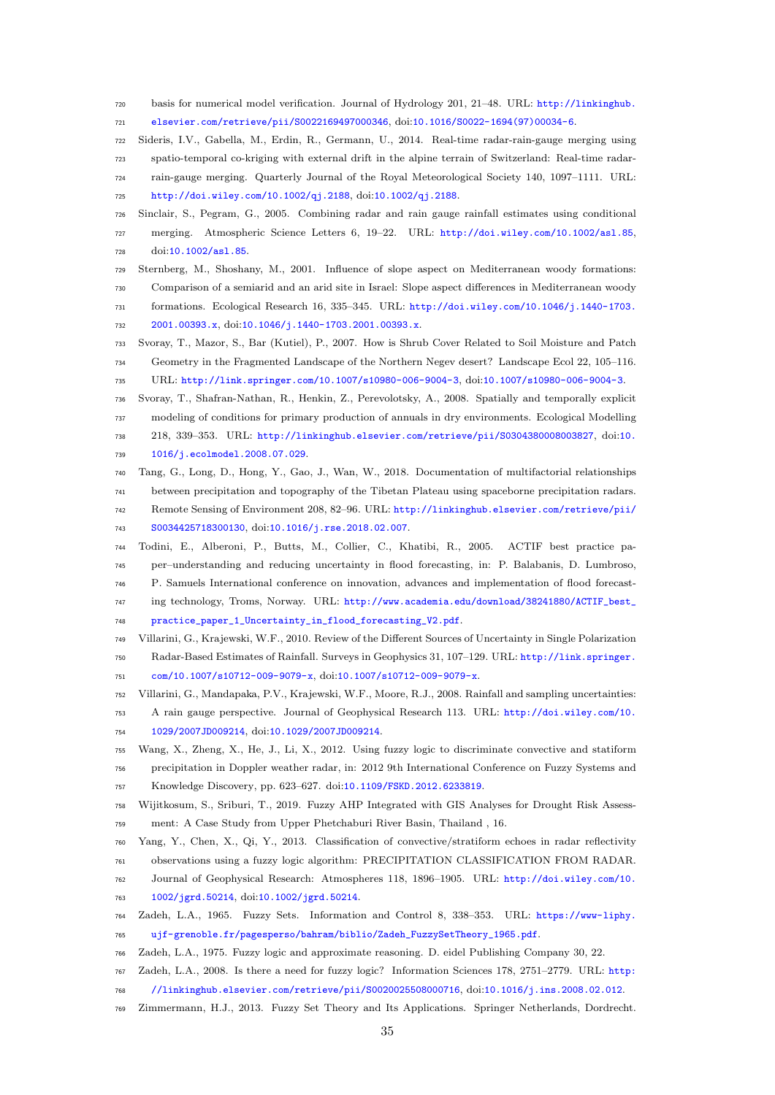- basis for numerical model verification. Journal of Hydrology 201, 21–48. URL: [http://linkinghub.](http://linkinghub.elsevier.com/retrieve/pii/ S0022169497000346) [elsevier.com/retrieve/pii/S0022169497000346](http://linkinghub.elsevier.com/retrieve/pii/ S0022169497000346), doi:[10.1016/S0022-1694\(97\)00034-6](http://dx.doi.org/10.1016/S0022-1694(97)00034-6).
- <span id="page-35-14"></span> Sideris, I.V., Gabella, M., Erdin, R., Germann, U., 2014. Real-time radar-rain-gauge merging using spatio-temporal co-kriging with external drift in the alpine terrain of Switzerland: Real-time radar- rain-gauge merging. Quarterly Journal of the Royal Meteorological Society 140, 1097–1111. URL: <http://doi.wiley.com/10.1002/qj.2188>, doi:[10.1002/qj.2188](http://dx.doi.org/10.1002/qj.2188).
- <span id="page-35-2"></span> Sinclair, S., Pegram, G., 2005. Combining radar and rain gauge rainfall estimates using conditional merging. Atmospheric Science Letters 6, 19–22. URL: <http://doi.wiley.com/10.1002/asl.85>, doi:[10.1002/asl.85](http://dx.doi.org/10.1002/asl.85).
- <span id="page-35-13"></span> Sternberg, M., Shoshany, M., 2001. Influence of slope aspect on Mediterranean woody formations: Comparison of a semiarid and an arid site in Israel: Slope aspect differences in Mediterranean woody formations. Ecological Research 16, 335–345. URL: [http://doi.wiley.com/10.1046/j.1440-1703.](http://doi.wiley.com/10.1046/j.1440-1703.2001.00393.x)
- [2001.00393.x](http://doi.wiley.com/10.1046/j.1440-1703.2001.00393.x), doi:[10.1046/j.1440-1703.2001.00393.x](http://dx.doi.org/10.1046/j.1440-1703.2001.00393.x).
- <span id="page-35-7"></span> Svoray, T., Mazor, S., Bar (Kutiel), P., 2007. How is Shrub Cover Related to Soil Moisture and Patch Geometry in the Fragmented Landscape of the Northern Negev desert? Landscape Ecol 22, 105–116.
- <span id="page-35-8"></span>URL: <http://link.springer.com/10.1007/s10980-006-9004-3>, doi:[10.1007/s10980-006-9004-3](http://dx.doi.org/10.1007/s10980-006-9004-3).
- Svoray, T., Shafran-Nathan, R., Henkin, Z., Perevolotsky, A., 2008. Spatially and temporally explicit modeling of conditions for primary production of annuals in dry environments. Ecological Modelling 218, 339–353. URL: [http://linkinghub.elsevier.com/retrieve/pii/S0304380008003827](http://linkinghub.elsevier.com/retrieve/pii/ S0304380008003827), doi:[10.](http://dx.doi.org/10.1016/j.ecolmodel.2008.07.029) [1016/j.ecolmodel.2008.07.029](http://dx.doi.org/10.1016/j.ecolmodel.2008.07.029).
- <span id="page-35-12"></span> Tang, G., Long, D., Hong, Y., Gao, J., Wan, W., 2018. Documentation of multifactorial relationships between precipitation and topography of the Tibetan Plateau using spaceborne precipitation radars.
- Remote Sensing of Environment 208, 82–96. URL: [http://linkinghub.elsevier.com/retrieve/pii/](http://linkinghub.elsevier.com/retrieve/pii/ S0034425718300130) [S0034425718300130](http://linkinghub.elsevier.com/retrieve/pii/ S0034425718300130), doi:[10.1016/j.rse.2018.02.007](http://dx.doi.org/10.1016/j.rse.2018.02.007).
- <span id="page-35-0"></span> Todini, E., Alberoni, P., Butts, M., Collier, C., Khatibi, R., 2005. ACTIF best practice pa- per–understanding and reducing uncertainty in flood forecasting, in: P. Balabanis, D. Lumbroso, P. Samuels International conference on innovation, advances and implementation of flood forecast-
- ing technology, Troms, Norway. URL: [http://www.academia.edu/download/38241880/ACTIF\\_best\\_](http://www.academia.edu/download/38241880/ ACTIF_best_practice_paper_1_Uncertainty_in_flood_forecasting_V2.pdf)
- <span id="page-35-15"></span>[practice\\_paper\\_1\\_Uncertainty\\_in\\_flood\\_forecasting\\_V2.pdf](http://www.academia.edu/download/38241880/ ACTIF_best_practice_paper_1_Uncertainty_in_flood_forecasting_V2.pdf).
- Villarini, G., Krajewski, W.F., 2010. Review of the Different Sources of Uncertainty in Single Polarization Radar-Based Estimates of Rainfall. Surveys in Geophysics 31, 107–129. URL: [http://link.springer.](http://link.springer.com/10.1007/s10712-009-9079-x) [com/10.1007/s10712-009-9079-x](http://link.springer.com/10.1007/s10712-009-9079-x), doi:[10.1007/s10712-009-9079-x](http://dx.doi.org/10.1007/s10712-009-9079-x).
- <span id="page-35-1"></span> Villarini, G., Mandapaka, P.V., Krajewski, W.F., Moore, R.J., 2008. Rainfall and sampling uncertainties: A rain gauge perspective. Journal of Geophysical Research 113. URL: [http://doi.wiley.com/10.](http://doi.wiley.com/10.1029/2007JD009214) [1029/2007JD009214](http://doi.wiley.com/10.1029/2007JD009214), doi:[10.1029/2007JD009214](http://dx.doi.org/10.1029/2007JD009214).
- <span id="page-35-10"></span> Wang, X., Zheng, X., He, J., Li, X., 2012. Using fuzzy logic to discriminate convective and statiform precipitation in Doppler weather radar, in: 2012 9th International Conference on Fuzzy Systems and Knowledge Discovery, pp. 623–627. doi:[10.1109/FSKD.2012.6233819](http://dx.doi.org/10.1109/FSKD.2012.6233819).
- <span id="page-35-11"></span> Wijitkosum, S., Sriburi, T., 2019. Fuzzy AHP Integrated with GIS Analyses for Drought Risk Assess-ment: A Case Study from Upper Phetchaburi River Basin, Thailand , 16.
- <span id="page-35-9"></span> Yang, Y., Chen, X., Qi, Y., 2013. Classification of convective/stratiform echoes in radar reflectivity observations using a fuzzy logic algorithm: PRECIPITATION CLASSIFICATION FROM RADAR.
- Journal of Geophysical Research: Atmospheres 118, 1896–1905. URL: [http://doi.wiley.com/10.](http://doi.wiley.com/10.1002/jgrd.50214) [1002/jgrd.50214](http://doi.wiley.com/10.1002/jgrd.50214), doi:[10.1002/jgrd.50214](http://dx.doi.org/10.1002/jgrd.50214).
- <span id="page-35-3"></span> [Z](https://www-liphy.ujf-grenoble.fr/pagesperso/bahram/biblio/ Zadeh_FuzzySetTheory_1965.pdf)adeh, L.A., 1965. Fuzzy Sets. Information and Control 8, 338–353. URL: [https://www-liphy.](https://www-liphy.ujf-grenoble.fr/pagesperso/bahram/biblio/ Zadeh_FuzzySetTheory_1965.pdf) [ujf-grenoble.fr/pagesperso/bahram/biblio/Zadeh\\_FuzzySetTheory\\_1965.pdf](https://www-liphy.ujf-grenoble.fr/pagesperso/bahram/biblio/ Zadeh_FuzzySetTheory_1965.pdf).
- <span id="page-35-5"></span><span id="page-35-4"></span>Zadeh, L.A., 1975. Fuzzy logic and approximate reasoning. D. eidel Publishing Company 30, 22.
- [Z](http://linkinghub.elsevier.com/retrieve/pii/ S0020025508000716)adeh, L.A., 2008. Is there a need for fuzzy logic? Information Sciences 178, 2751–2779. URL: [http:](http://linkinghub.elsevier.com/retrieve/pii/ S0020025508000716)
- [//linkinghub.elsevier.com/retrieve/pii/S0020025508000716](http://linkinghub.elsevier.com/retrieve/pii/ S0020025508000716), doi:[10.1016/j.ins.2008.02.012](http://dx.doi.org/10.1016/j.ins.2008.02.012).
- <span id="page-35-6"></span>Zimmermann, H.J., 2013. Fuzzy Set Theory and Its Applications. Springer Netherlands, Dordrecht.